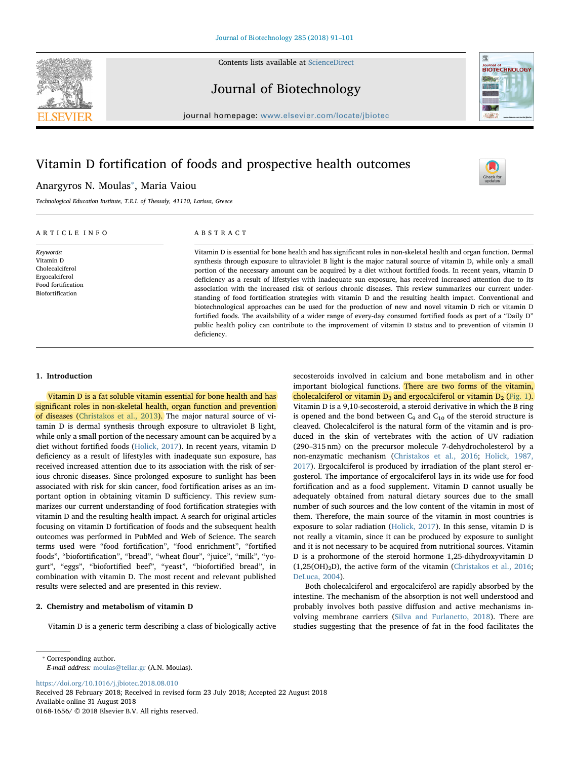

Journal of Biotechnology



 $\frac{N}{2}$ 

journal homepage: [www.elsevier.com/locate/jbiotec](https://www.elsevier.com/locate/jbiotec)

# Vitamin D fortification of foods and prospective health outcomes

# Anargyros N. Moulas[⁎](#page-0-0) , Maria Vaiou

Technological Education Institute, T.E.I. of Thessaly, 41110, Larissa, Greece

## ARTICLE INFO

Keywords: Vitamin D Cholecalciferol Ergocalciferol Food fortification Biofortification

## ABSTRACT

Vitamin D is essential for bone health and has significant roles in non-skeletal health and organ function. Dermal synthesis through exposure to ultraviolet B light is the major natural source of vitamin D, while only a small portion of the necessary amount can be acquired by a diet without fortified foods. In recent years, vitamin D deficiency as a result of lifestyles with inadequate sun exposure, has received increased attention due to its association with the increased risk of serious chronic diseases. This review summarizes our current understanding of food fortification strategies with vitamin D and the resulting health impact. Conventional and biotechnological approaches can be used for the production of new and novel vitamin D rich or vitamin D fortified foods. The availability of a wider range of every-day consumed fortified foods as part of a "Daily D" public health policy can contribute to the improvement of vitamin D status and to prevention of vitamin D deficiency.

### 1. Introduction

Vitamin D is a fat soluble vitamin essential for bone health and has significant roles in non-skeletal health, organ function and prevention of diseases ([Christakos et al., 2013](#page-8-0)). The major natural source of vitamin D is dermal synthesis through exposure to ultraviolet B light, while only a small portion of the necessary amount can be acquired by a diet without fortified foods ([Holick, 2017\)](#page-9-0). In recent years, vitamin D deficiency as a result of lifestyles with inadequate sun exposure, has received increased attention due to its association with the risk of serious chronic diseases. Since prolonged exposure to sunlight has been associated with risk for skin cancer, food fortification arises as an important option in obtaining vitamin D sufficiency. This review summarizes our current understanding of food fortification strategies with vitamin D and the resulting health impact. A search for original articles focusing on vitamin D fortification of foods and the subsequent health outcomes was performed in PubMed and Web of Science. The search terms used were "food fortification", "food enrichment", "fortified foods", "biofortification", "bread", "wheat flour", "juice", "milk", "yogurt", "eggs", "biofortified beef", "yeast", "biofortified bread", in combination with vitamin D. The most recent and relevant published results were selected and are presented in this review.

#### 2. Chemistry and metabolism of vitamin D

Vitamin D is a generic term describing a class of biologically active

secosteroids involved in calcium and bone metabolism and in other important biological functions. There are two forms of the vitamin, cholecalciferol or vitamin  $D_3$  and ergocalciferol or vitamin  $D_2$  [\(Fig. 1](#page-1-0)). Vitamin D is a 9,10-secosteroid, a steroid derivative in which the B ring is opened and the bond between  $C_9$  and  $C_{10}$  of the steroid structure is cleaved. Cholecalciferol is the natural form of the vitamin and is produced in the skin of vertebrates with the action of UV radiation (290–315 nm) on the precursor molecule 7-dehydrocholesterol by a non-enzymatic mechanism ([Christakos et al., 2016;](#page-8-1) [Holick, 1987,](#page-9-1) [2017\)](#page-9-1). Ergocalciferol is produced by irradiation of the plant sterol ergosterol. The importance of ergocalciferol lays in its wide use for food fortification and as a food supplement. Vitamin D cannot usually be adequately obtained from natural dietary sources due to the small number of such sources and the low content of the vitamin in most of them. Therefore, the main source of the vitamin in most countries is exposure to solar radiation [\(Holick, 2017](#page-9-0)). In this sense, vitamin D is not really a vitamin, since it can be produced by exposure to sunlight and it is not necessary to be acquired from nutritional sources. Vitamin D is a prohormone of the steroid hormone 1,25-dihydroxyvitamin D  $(1,25(OH)<sub>2</sub>D)$ , the active form of the vitamin ([Christakos et al., 2016](#page-8-1); [DeLuca, 2004](#page-9-2)).

Both cholecalciferol and ergocalciferol are rapidly absorbed by the intestine. The mechanism of the absorption is not well understood and probably involves both passive diffusion and active mechanisms involving membrane carriers ([Silva and Furlanetto, 2018\)](#page-9-3). There are studies suggesting that the presence of fat in the food facilitates the

<span id="page-0-0"></span>⁎ Corresponding author.

E-mail address: [moulas@teilar.gr](mailto:moulas@teilar.gr) (A.N. Moulas).

<https://doi.org/10.1016/j.jbiotec.2018.08.010>

Received 28 February 2018; Received in revised form 23 July 2018; Accepted 22 August 2018 Available online 31 August 2018 0168-1656/ © 2018 Elsevier B.V. All rights reserved.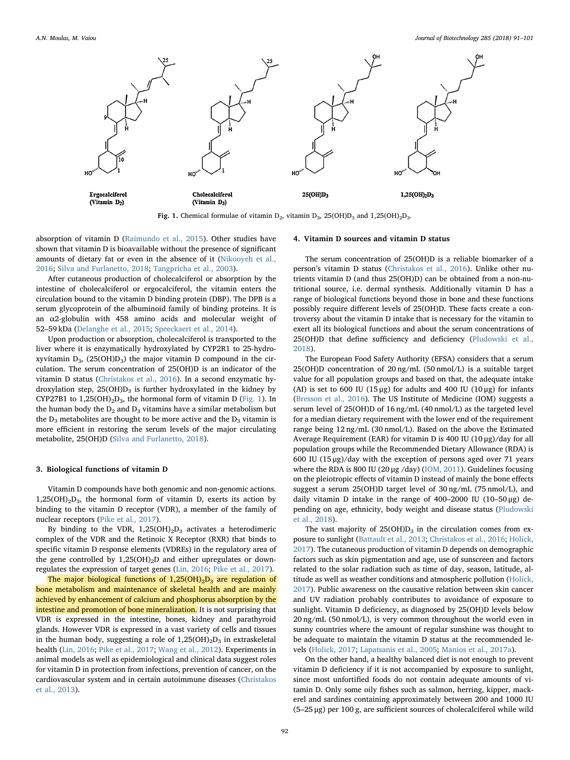<span id="page-1-0"></span>

Fig. 1. Chemical formulae of vitamin  $D_2$ , vitamin  $D_3$ , 25(OH) $D_3$  and 1,25(OH)<sub>2</sub>D<sub>3</sub>.

absorption of vitamin D ([Raimundo et al., 2015](#page-9-4)). Other studies have shown that vitamin D is bioavailable without the presence of significant amounts of dietary fat or even in the absence of it ([Nikooyeh et al.,](#page-9-5) [2016;](#page-9-5) [Silva and Furlanetto, 2018](#page-9-3); [Tangpricha et al., 2003\)](#page-9-6).

After cutaneous production of cholecalciferol or absorption by the intestine of cholecalciferol or ergocalciferol, the vitamin enters the circulation bound to the vitamin D binding protein (DBP). The DPB is a serum glycoprotein of the albuminoid family of binding proteins. It is an α2-globulin with 458 amino acids and molecular weight of 52–59 kDa ([Delanghe et al., 2015](#page-9-7); [Speeckaert et al., 2014\)](#page-9-8).

Upon production or absorption, cholecalciferol is transported to the liver where it is enzymatically hydroxylated by CYP2R1 to 25-hydroxyvitamin  $D_3$ , (25(OH) $D_3$ ) the major vitamin D compound in the circulation. The serum concentration of 25(OH)D is an indicator of the vitamin D status [\(Christakos et al., 2016\)](#page-8-1). In a second enzymatic hydroxylation step,  $25(OH)D_3$  is further hydroxylated in the kidney by CYP27B1 to  $1,25(OH)<sub>2</sub>D<sub>3</sub>$ , the hormonal form of vitamin D [\(Fig. 1\)](#page-1-0). In the human body the  $D_2$  and  $D_3$  vitamins have a similar metabolism but the  $D_3$  metabolites are thought to be more active and the  $D_3$  vitamin is more efficient in restoring the serum levels of the major circulating metabolite, 25(OH)D [\(Silva and Furlanetto, 2018\)](#page-9-3).

#### 3. Biological functions of vitamin D

Vitamin D compounds have both genomic and non-genomic actions.  $1,25(OH)<sub>2</sub>D<sub>3</sub>$ , the hormonal form of vitamin D, exerts its action by binding to the vitamin D receptor (VDR), a member of the family of nuclear receptors ([Pike et al., 2017](#page-9-9)).

By binding to the VDR,  $1,25(OH)_2D_3$  activates a heterodimeric complex of the VDR and the Retinoic X Receptor (RXR) that binds to specific vitamin D response elements (VDREs) in the regulatory area of the gene controlled by  $1,25(OH)_2D$  and either upregulates or downregulates the expression of target genes [\(Lin, 2016](#page-9-10); [Pike et al., 2017\)](#page-9-9).

The major biological functions of  $1,25(OH)_{2}D_{3}$  are regulation of bone metabolism and maintenance of skeletal health and are mainly achieved by enhancement of calcium and phosphorus absorption by the intestine and promotion of bone mineralization. It is not surprising that VDR is expressed in the intestine, bones, kidney and parathyroid glands. However VDR is expressed in a vast variety of cells and tissues in the human body, suggesting a role of  $1,25(OH)_2D_3$  in extraskeletal health [\(Lin, 2016;](#page-9-10) [Pike et al., 2017](#page-9-9); [Wang et al., 2012](#page-10-0)). Experiments in animal models as well as epidemiological and clinical data suggest roles for vitamin D in protection from infections, prevention of cancer, on the cardiovascular system and in certain autoimmune diseases ([Christakos](#page-8-0) [et al., 2013](#page-8-0)).

#### 4. Vitamin D sources and vitamin D status

The serum concentration of 25(OH)D is a reliable biomarker of a person's vitamin D status [\(Christakos et al., 2016](#page-8-1)). Unlike other nutrients vitamin D (and thus 25(OH)D) can be obtained from a non-nutritional source, i.e. dermal synthesis. Additionally vitamin D has a range of biological functions beyond those in bone and these functions possibly require different levels of 25(OH)D. These facts create a controversy about the vitamin D intake that is necessary for the vitamin to exert all its biological functions and about the serum concentrations of 25(OH)D that define sufficiency and deficiency ([Pludowski et al.,](#page-9-11) [2018\)](#page-9-11).

The European Food Safety Authority (EFSA) considers that a serum 25(OH)D concentration of 20 ng/mL (50 nmol/L) is a suitable target value for all population groups and based on that, the adequate intake (AI) is set to 600 IU (15 μg) for adults and 400 IU (10 μg) for infants ([Bresson et al., 2016](#page-8-2)). The US Institute of Medicine (IOM) suggests a serum level of 25(OH)D of 16 ng/mL (40 nmol/L) as the targeted level for a median dietary requirement with the lower end of the requirement range being 12 ng/mL (30 nmol/L). Based on the above the Estimated Average Requirement (EAR) for vitamin D is 400 IU ( $10 \mu$ g)/day for all population groups while the Recommended Dietary Allowance (RDA) is 600 IU (15 μg)/day with the exception of persons aged over 71 years where the RDA is 800 IU (20 μg /day) ([IOM, 2011\)](#page-9-12). Guidelines focusing on the pleiotropic effects of vitamin D instead of mainly the bone effects suggest a serum 25(OH)D target level of 30 ng/mL (75 nmol/L), and daily vitamin D intake in the range of 400–2000 IU (10–50 μg) depending on age, ethnicity, body weight and disease status [\(Pludowski](#page-9-11) [et al., 2018](#page-9-11)).

The vast majority of  $25(OH)D<sub>3</sub>$  in the circulation comes from exposure to sunlight [\(Battault et al., 2013;](#page-8-3) [Christakos et al., 2016](#page-8-1); [Holick,](#page-9-0) [2017\)](#page-9-0). The cutaneous production of vitamin D depends on demographic factors such as skin pigmentation and age, use of sunscreen and factors related to the solar radiation such as time of day, season, latitude, altitude as well as weather conditions and atmospheric pollution [\(Holick,](#page-9-0) [2017\)](#page-9-0). Public awareness on the causative relation between skin cancer and UV radiation probably contributes to avoidance of exposure to sunlight. Vitamin D deficiency, as diagnosed by 25(OH)D levels below 20 ng/mL (50 nmol/L), is very common throughout the world even in sunny countries where the amount of regular sunshine was thought to be adequate to maintain the vitamin D status at the recommended levels ([Holick, 2017;](#page-9-0) [Lapatsanis et al., 2005;](#page-9-13) [Manios et al., 2017a\)](#page-9-14).

On the other hand, a healthy balanced diet is not enough to prevent vitamin D deficiency if it is not accompanied by exposure to sunlight, since most unfortified foods do not contain adequate amounts of vitamin D. Only some oily fishes such as salmon, herring, kipper, mackerel and sardines containing approximately between 200 and 1000 IU (5–25 μg) per 100 g, are sufficient sources of cholecalciferol while wild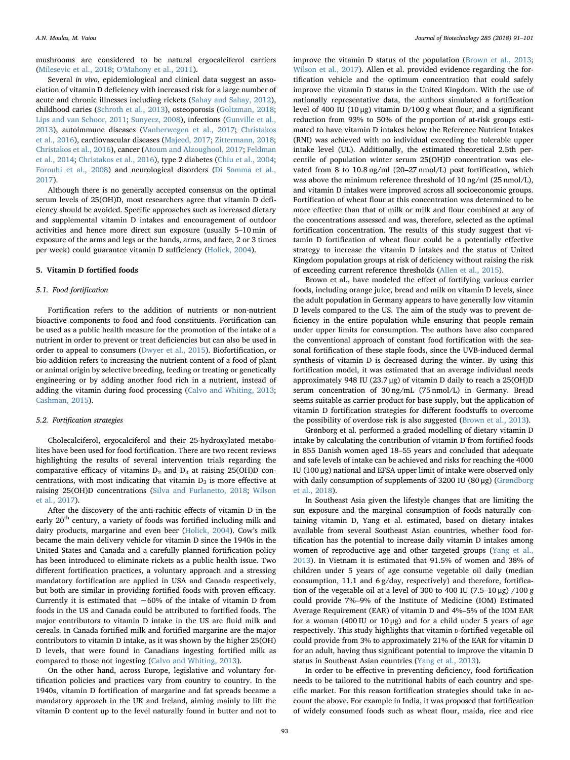mushrooms are considered to be natural ergocalciferol carriers ([Milesevic et al., 2018](#page-9-15); O'[Mahony et al., 2011\)](#page-9-16).

Several in vivo, epidemiological and clinical data suggest an association of vitamin D deficiency with increased risk for a large number of acute and chronic illnesses including rickets [\(Sahay and Sahay, 2012](#page-9-17)), childhood caries ([Schroth et al., 2013](#page-9-18)), osteoporosis ([Goltzman, 2018](#page-9-19); [Lips and van Schoor, 2011](#page-9-20); [Sunyecz, 2008\)](#page-9-21), infections [\(Gunville et al.,](#page-9-22) [2013\)](#page-9-22), autoimmune diseases [\(Vanherwegen et al., 2017](#page-10-1); [Christakos](#page-8-1) [et al., 2016\)](#page-8-1), cardiovascular diseases [\(Majeed, 2017](#page-9-23); [Zittermann, 2018](#page-10-2); [Christakos et al., 2016\)](#page-8-1), cancer [\(Atoum and Alzoughool, 2017](#page-8-4); [Feldman](#page-9-24) [et al., 2014;](#page-9-24) [Christakos et al., 2016](#page-8-1)), type 2 diabetes ([Chiu et al., 2004](#page-8-5); [Forouhi et al., 2008](#page-9-25)) and neurological disorders ([Di Somma et al.,](#page-9-26) [2017\)](#page-9-26).

Although there is no generally accepted consensus on the optimal serum levels of 25(OH)D, most researchers agree that vitamin D deficiency should be avoided. Specific approaches such as increased dietary and supplemental vitamin D intakes and encouragement of outdoor activities and hence more direct sun exposure (usually 5–10 min of exposure of the arms and legs or the hands, arms, and face, 2 or 3 times per week) could guarantee vitamin D sufficiency ([Holick, 2004\)](#page-9-27).

#### 5. Vitamin D fortified foods

### 5.1. Food fortification

Fortification refers to the addition of nutrients or non-nutrient bioactive components to food and food constituents. Fortification can be used as a public health measure for the promotion of the intake of a nutrient in order to prevent or treat deficiencies but can also be used in order to appeal to consumers ([Dwyer et al., 2015\)](#page-9-28). Biofortification, or bio-addition refers to increasing the nutrient content of a food of plant or animal origin by selective breeding, feeding or treating or genetically engineering or by adding another food rich in a nutrient, instead of adding the vitamin during food processing [\(Calvo and Whiting, 2013](#page-8-6); [Cashman, 2015\)](#page-8-7).

#### 5.2. Fortification strategies

Cholecalciferol, ergocalciferol and their 25-hydroxylated metabolites have been used for food fortification. There are two recent reviews highlighting the results of several intervention trials regarding the comparative efficacy of vitamins  $D_2$  and  $D_3$  at raising 25(OH)D concentrations, with most indicating that vitamin  $D_3$  is more effective at raising 25(OH)D concentrations ([Silva and Furlanetto, 2018](#page-9-3); [Wilson](#page-10-3) [et al., 2017](#page-10-3)).

After the discovery of the anti-rachitic effects of vitamin D in the early  $20^{\rm th}$  century, a variety of foods was fortified including milk and dairy products, margarine and even beer [\(Holick, 2004](#page-9-27)). Cow's milk became the main delivery vehicle for vitamin D since the 1940s in the United States and Canada and a carefully planned fortification policy has been introduced to eliminate rickets as a public health issue. Two different fortification practices, a voluntary approach and a stressing mandatory fortification are applied in USA and Canada respectively, but both are similar in providing fortified foods with proven efficacy. Currently it is estimated that ∼60% of the intake of vitamin D from foods in the US and Canada could be attributed to fortified foods. The major contributors to vitamin D intake in the US are fluid milk and cereals. In Canada fortified milk and fortified margarine are the major contributors to vitamin D intake, as it was shown by the higher 25(OH) D levels, that were found in Canadians ingesting fortified milk as compared to those not ingesting [\(Calvo and Whiting, 2013\)](#page-8-6).

On the other hand, across Europe, legislative and voluntary fortification policies and practices vary from country to country. In the 1940s, vitamin D fortification of margarine and fat spreads became a mandatory approach in the UK and Ireland, aiming mainly to lift the vitamin D content up to the level naturally found in butter and not to

improve the vitamin D status of the population ([Brown et al., 2013](#page-8-8); [Wilson et al., 2017](#page-10-3)). Allen et al. provided evidence regarding the fortification vehicle and the optimum concentration that could safely improve the vitamin D status in the United Kingdom. With the use of nationally representative data, the authors simulated a fortification level of 400 IU (10 μg) vitamin D/100 g wheat flour, and a significant reduction from 93% to 50% of the proportion of at-risk groups estimated to have vitamin D intakes below the Reference Nutrient Intakes (RNI) was achieved with no individual exceeding the tolerable upper intake level (UL). Additionally, the estimated theoretical 2.5th percentile of population winter serum 25(OH)D concentration was elevated from 8 to 10.8 ng/ml (20–27 nmol/L) post fortification, which was above the minimum reference threshold of 10 ng/ml (25 nmol/L), and vitamin D intakes were improved across all socioeconomic groups. Fortification of wheat flour at this concentration was determined to be more effective than that of milk or milk and flour combined at any of the concentrations assessed and was, therefore, selected as the optimal fortification concentration. The results of this study suggest that vitamin D fortification of wheat flour could be a potentially effective strategy to increase the vitamin D intakes and the status of United Kingdom population groups at risk of deficiency without raising the risk of exceeding current reference thresholds ([Allen et al., 2015\)](#page-8-9).

Brown et al., have modeled the effect of fortifying various carrier foods, including orange juice, bread and milk on vitamin D levels, since the adult population in Germany appears to have generally low vitamin D levels compared to the US. The aim of the study was to prevent deficiency in the entire population while ensuring that people remain under upper limits for consumption. The authors have also compared the conventional approach of constant food fortification with the seasonal fortification of these staple foods, since the UVB-induced dermal synthesis of vitamin D is decreased during the winter. By using this fortification model, it was estimated that an average individual needs approximately 948 IU (23.7 μg) of vitamin D daily to reach a 25(OH)D serum concentration of 30 ng/mL (75 nmol/L) in Germany. Bread seems suitable as carrier product for base supply, but the application of vitamin D fortification strategies for different foodstuffs to overcome the possibility of overdose risk is also suggested [\(Brown et al., 2013\)](#page-8-8).

Grønborg et al. performed a graded modelling of dietary vitamin D intake by calculating the contribution of vitamin D from fortified foods in 855 Danish women aged 18–55 years and concluded that adequate and safe levels of intake can be achieved and risks for reaching the 4000 IU (100 μg) national and EFSA upper limit of intake were observed only with daily consumption of supplements of 3200 IU (80 μg) ([Grøndborg](#page-9-29) [et al., 2018](#page-9-29)).

In Southeast Asia given the lifestyle changes that are limiting the sun exposure and the marginal consumption of foods naturally containing vitamin D, Yang et al. estimated, based on dietary intakes available from several Southeast Asian countries, whether food fortification has the potential to increase daily vitamin D intakes among women of reproductive age and other targeted groups ([Yang et al.,](#page-10-4) [2013\)](#page-10-4). In Vietnam it is estimated that 91.5% of women and 38% of children under 5 years of age consume vegetable oil daily (median consumption, 11.1 and 6 g/day, respectively) and therefore, fortification of the vegetable oil at a level of 300 to 400 IU (7.5–10 μg)  $/100$  g could provide 7%–9% of the Institute of Medicine (IOM) Estimated Average Requirement (EAR) of vitamin D and 4%–5% of the IOM EAR for a woman (400 IU or  $10 \mu$ g) and for a child under 5 years of age respectively. This study highlights that vitamin D-fortified vegetable oil could provide from 3% to approximately 21% of the EAR for vitamin D for an adult, having thus significant potential to improve the vitamin D status in Southeast Asian countries [\(Yang et al., 2013](#page-10-4)).

In order to be effective in preventing deficiency, food fortification needs to be tailored to the nutritional habits of each country and specific market. For this reason fortification strategies should take in account the above. For example in India, it was proposed that fortification of widely consumed foods such as wheat flour, maida, rice and rice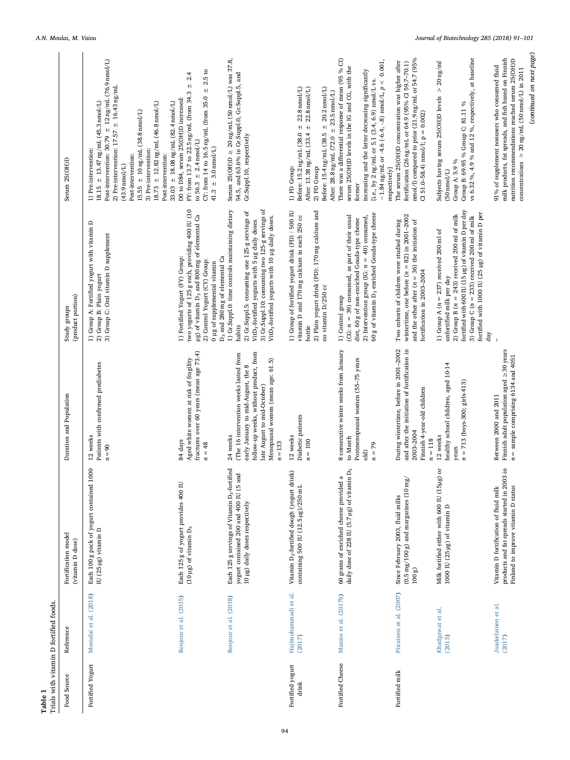<span id="page-3-0"></span>

| Table 1                   | Trials with vitamin D fortified foods. |                                                                                                                                       |                                                                                                                                                                                                                     |                                                                                                                                                                                                                                                                                                |                                                                                                                                                                                                                                                                                                                                                                                                   |
|---------------------------|----------------------------------------|---------------------------------------------------------------------------------------------------------------------------------------|---------------------------------------------------------------------------------------------------------------------------------------------------------------------------------------------------------------------|------------------------------------------------------------------------------------------------------------------------------------------------------------------------------------------------------------------------------------------------------------------------------------------------|---------------------------------------------------------------------------------------------------------------------------------------------------------------------------------------------------------------------------------------------------------------------------------------------------------------------------------------------------------------------------------------------------|
| Food Source               | Reference                              | Fortification model<br>(vitamin D dose)                                                                                               | Duration and Population                                                                                                                                                                                             | (product portion)<br>Study groups                                                                                                                                                                                                                                                              | Serum 25(OH)D                                                                                                                                                                                                                                                                                                                                                                                     |
| Fortified Yogurt          | Mostafai et al. (2018)                 | 000<br>Each 100 g pack of yogurt contained 1<br>IU (25 µg) vitamin D                                                                  | Patients with confirmed prediabetes<br>12 weeks<br>$n = 90$                                                                                                                                                         | 1) Group A: Fortified yogurt with vitamin D<br>2) Group B: Plain yogurt<br>3) Group C: Oral vitamin D supplement                                                                                                                                                                               | Post-intervention: $30.79 \pm 12$ ng/mL (76.9 nmol/L)<br>2) Pre-intervention: 17.57 $\pm$ 16.43 ng/mL<br>18.15 $\pm$ 13.47 ng/mL (45.3 nmol/L)<br>$33.03 \pm 18.08$ ng/mL (82.4 nmol/L)<br>$18.73 \pm 12.82$ ng/mL (46.8 nmol/L)<br>$15.55\,\pm\,10\,\mathrm{ng/mL}$ (38.8 nmol/L)<br>1) Pre-intervention:<br>3) Pre-intervention:<br>Post-intervention:<br>Post-intervention:<br>$(43.9$ nmol/L) |
|                           | Bonjour et al. (2015)                  | Each 125 g of yogurt provides 400 IU<br>$(10 \mu g)$ of vitamin $D_3$                                                                 | fractures over 60 years (mean age 73.4)<br>Aged white women at risk of fragility<br>84 days<br>$n = 48$                                                                                                             | two yogurts of 125 g each, providing 400 IU (10<br>µg) of vitamin D <sub>3</sub> and 800 mg of elemental Ca<br>1) Fortified Yogurt (FY) Group:<br>D <sub>3</sub> and 280 mg of elemental Ca<br>2) Control Yogurt (CY) Group:<br>0 µg of supplemental vitamin                                   | ± 2.5 to<br>2.4<br>$\pm$<br>FY: from 13.7 to 22.5 ng/mL (from 34.3<br>CY: from 14 to 16.5 $ng/ml$ (from 35.0<br>D0 to D84, serum 25(OH)D increased:<br>to 56.3 $\pm$ 2.4 nmol/L)<br>$41.3 \pm 3.0 \,\text{mol/L}$                                                                                                                                                                                 |
|                           | Bonjour et al. (2018)                  | Each 125 g servings of Vitamin D <sub>3</sub> -fortified<br>yogurt contained 200 and 400 IU (5 and<br>10 µg) daily doses respectively | follow-up weeks, without product, from<br>(The 16 intervention weeks lasted from<br>Menopausal women (mean age: 61.5)<br>early January to mid-August, the 8<br>late August to mid-October)<br>24 weeks<br>$n = 133$ | 3) Gr.Suppl.10: consuming two 125-g servings of<br>1) Gr.Suppl.O: time controls maintaining dietary<br>2) Gr.Suppl.5: consuming one 125-g servings of<br>VitD <sub>3</sub> -fortified yogurts with 10 µg daily doses.<br>VitD <sub>3</sub> -fortified yogurts with 5 µg daily doses.<br>habits | $20$ ng/mL (50 nmol/L) was $37.8,$<br>54.5, and 63.6% in Gr.Suppl.0, Gr.Suppl.5, and<br>Gr.Suppl.10, respectively<br>Serum 25(OH)D $\geq$                                                                                                                                                                                                                                                         |
| Fortified yogurt<br>drink | Hajimohammadi et al.<br>(2017)         | Vitamin D <sub>3</sub> -fortified doogh (yogurt drink)<br>containing 500 IU (12.5 µg)/250 mL                                          | Diabetic patients<br>12 weeks<br>$n = 100$                                                                                                                                                                          | 1) Group of fortified yogurt drink (FD): 500 IU<br>2) Plain yogurt drink (PD): 170 mg calcium and<br>vitamin D and 170 mg calcium in each 250 cc<br>no vitamin D/250 cc<br>bottle                                                                                                              | $\begin{array}{l} \mbox{Before: } 15.2\,\mbox{ng/mL} \ (38.0\ \pm\ 22.8\,\mbox{mmol/L}) \\ \mbox{After: } 13.38\,\mbox{ng/mL} \ (33.4\ \pm\ 22.8\,\mbox{mmol/L}) \end{array}$<br>$±$ 20.2 nmol/L)<br>After: 28.8 ng/mL (72.0 $\pm$ 23.5 nmol/L)<br>Before: 15.4 ng/mL (38.5<br>1) FD Group:<br>2) PD Group:                                                                                       |
| Fortified Cheese          | Manios et al. (2017b)                  | daily dose of 228 IU (5.7 µg) of vitamin D <sub>3</sub><br>$\varpi$<br>60 grams of enriched cheese provided                           | 8 consecutive winter weeks from January<br>Postmenopausal women (55-75 years<br>to March<br>$n = 79$<br>old)                                                                                                        | 60 g of vitamin D <sub>3</sub> enriched Gouda-type cheese<br>(CG: $n = 39$ ) consumed, as part of their usual<br>2) Intervention group (IG: $n = 40$ ) consumed,<br>diet, 60 g of non-enriched Gouda-type cheese<br>1) Control group                                                           | There was a differential response of mean (95 % CI)<br>$-1.84$ ng/mL or -4.6 (-6.4, -.8) nmol/L, $p < 0.001$ ,<br>serum 25(OH)D levels in the IG and CG, with the<br>increasing and the latter decreasing significantly<br>[i.e., by 2 ng/mL or 5.1 (3.4, 6.9) nmol/L vs.<br>respectively]<br>former                                                                                              |
| Fortified milk            | Piirainen et al. (2007)                | $(0.5 \,\text{mg}/100 \,\text{g})$ and margarines $(10 \,\text{mg})$<br>Since February 2003, fluid milks<br>100 <sub>g</sub>          | During wintertime, before in 2001-2002<br>and after the initiation of fortification in<br>Finnish 4-year-old children<br>2003-2004<br>$n = 118$                                                                     | wintertime, one before $(n = 82)$ in 2001-2002<br>Two cohorts of children were studied during<br>and the other after $(n = 36)$ the initiation of<br>fortification in 2003-2004                                                                                                                | nmol/l) compared to prior (21.9 ng/mL or 54.7 (95%<br>The serum 25(OH)D concentration was higher after<br>fortification (26 ng/mL or 64.9 (95% CI 59.7-70.1)<br>CI 51.0-58.4) nmol/l; $p = 0.002$                                                                                                                                                                                                 |
|                           | Khadgawat et al.<br>(2013)             | Milk fortified either with 600 IU (15µg) or<br>1000 IU (25 µg) of vitamin D                                                           | healthy school children, aged 10-14<br>$n = 713$ (boys-300; girls-413)<br>12 weeks<br>years                                                                                                                         | fortified with 600 IU (15µg) of vitamin D per day<br>fortified with 1000 IU (25 µg) of vitamin D per<br>2) Group B ( $n = 243$ ) received 200 ml of milk<br>3) Group C ( $n = 233$ ) received 200 ml of milk<br>1) Group A ( $n = 237$ ) received 200 ml of<br>unfortified milk per day<br>day | vs 6.32 %, 4.9 % and 12 %, respectively, at baseline<br>Subjects having serum 25(OH)D levels $>$ 20 ng/ml<br>Group B: 69.95 % Group C: 81.11 %<br>Group A: 5.9 %<br>$(50 \text{ nmo} / \text{L})$                                                                                                                                                                                                 |
|                           | Jaaskelainen et al.<br>(2017)          | products and fat spreads started in 2003 in<br>Finland to improve vitamin D status<br>Vitamin D fortification of fluid milk           | Finnish adult population aged $\geq$ 30 years<br>n = sample comprising 6134 and 4051<br>Between 2000 and 2011                                                                                                       |                                                                                                                                                                                                                                                                                                | (continued on next page)<br>milk products, fat spreads, and fish based on Finnish<br>nutrition recommendations reached serum 25(OH)D<br>91% of supplement nonusers who consumed fluid<br>concentrations $>$ 20 ng/mL (50 nmol/L) in 2011                                                                                                                                                          |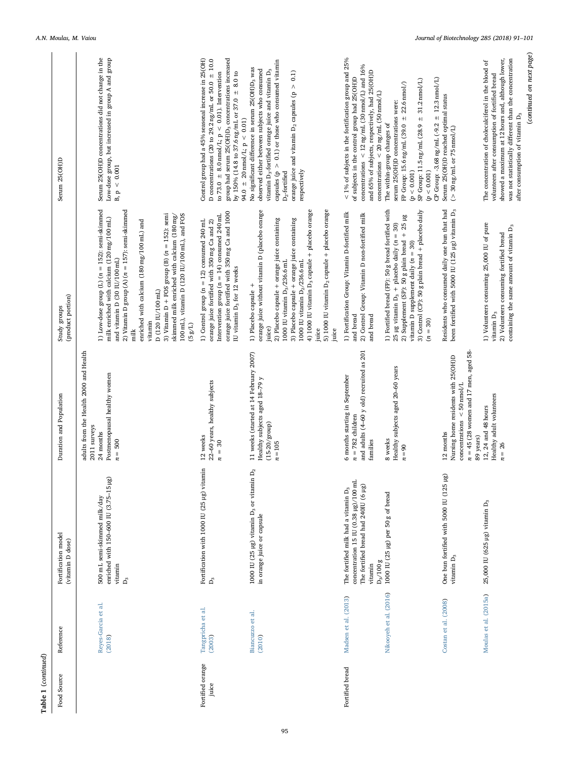| Food Source               | Reference                                      | Fortification model<br>(vitamin D dose)                                                                                                                                                       | Duration and Population                                                                                                                                                     | (product portion)<br>Study groups                                                                                                                                                                                                                                                                                                                                                                                                                    | Serum 25(OH)D                                                                                                                                                                                                                                                                                                                                                                                                                                                                                                             |
|---------------------------|------------------------------------------------|-----------------------------------------------------------------------------------------------------------------------------------------------------------------------------------------------|-----------------------------------------------------------------------------------------------------------------------------------------------------------------------------|------------------------------------------------------------------------------------------------------------------------------------------------------------------------------------------------------------------------------------------------------------------------------------------------------------------------------------------------------------------------------------------------------------------------------------------------------|---------------------------------------------------------------------------------------------------------------------------------------------------------------------------------------------------------------------------------------------------------------------------------------------------------------------------------------------------------------------------------------------------------------------------------------------------------------------------------------------------------------------------|
|                           | Reyes-Garcia et al.<br>(2018)                  | enriched with 150-600 IU (3.75-15 µg)<br>500 mL semi-skimmed milk/day<br>vitamin<br>P3                                                                                                        | adults from the Health 2000 and Health<br>Postmenopausal healthy women<br>2011 surveys<br>24 months<br>$n = 500$                                                            | 1) Low-dose group (L) ( $n = 152$ ): semi-skimmed<br>milk enriched with calcium (120 mg/100 mL)<br>2) Vitamin D group $(A)$ ( $n = 157$ ): semi-skimmed<br>3) Vitamin $D$ + FOS group (B) ( $n = 152$ ): semi<br>100 mL), vitamin D (120 IU/100 mL), and FOS<br>skimmed milk enriched with calcium (180 mg/<br>enriched with calcium (180 mg/100 mL) and<br>and vitamin D (30 IU/100 mL)<br>D(120 IU/100 mL)<br>vitamin<br>$(5\,g/\text{L})$<br>milk | Serum 25(OH)D concentrations did not change in the<br>Low-dose group, but increased in group A and group<br>$\texttt{B},\texttt{p} \, < \, 0.001$                                                                                                                                                                                                                                                                                                                                                                         |
| Fortified orange<br>juice | Tangpricha et al.<br>(2003)                    | Fortification with 1000 IU (25 µg) vitamin<br>$\mathbf{p}_3$                                                                                                                                  | 22-60 years, healthy subjects<br>12 weeks<br>$n = 30$                                                                                                                       | orange juice fortified with 350 mg Ca and 1000<br>Intervention group ( $n = 14$ ) consumed 240 mL<br>1) Control group $(n = 12)$ consumed 240 mL<br>orange juice fortified with 350 mg Ca and 2)<br>IU vitamin D <sub>3</sub> for 12 weeks                                                                                                                                                                                                           | group had serum 25(OH)D <sub>3</sub> concentrations increased<br>Control group had a 45% seasonal increase in 25(OH)<br>D concentrations (20 to 29.2 ng/mL or 50.0 $\pm$ 10.0<br>by 150% (14.8 to 37.6 ng/mL or 37.0 $\pm$ 8.0 to<br>to 73.0 $\pm$ 8.0 nmol/L; p < 0.01). Intervention<br>94.0 $\pm$ 20 nmol/L; $p < 0.01$ )                                                                                                                                                                                              |
|                           | Biancuzzo et al.<br>(2010)                     | $D_{2}$<br>1000 IU (25 µg) vitamin D <sub>3</sub> or vitamin<br>in orange juice or capsule                                                                                                    | 11 weeks (started at 14 February 2007)<br>Healthy subjects aged 18-79 y<br>$(15-20/\text{group})$<br>$n = 105$                                                              | 4) 1000 IU vitamin D <sub>3</sub> capsule + placebo orange<br>5) 1000 IU vitamin D <sub>2</sub> capsule + placebo orange<br>orange juice without vitamin D (placebo orange<br>2) Placebo capsule + orange juice containing<br>3) Placebo capsule + orange juice containing<br>1000 IU vitamin $D_2/236.6$ mL<br>1000 IU vitamin $D_3/236.6$ mL<br>1) Placebo capsule +<br>juice)<br>juice<br>juice                                                   | capsules ( $p > 0.1$ ) or those who consumed vitamin<br>No significant difference in serum 25(OH)D <sub>3</sub> was<br>observed either between subjects who consumed<br>vitamin D <sub>3</sub> -fortified orange juice and vitamin D <sub>3</sub><br>orange juice and vitamin $D_2$ capsules ( $p > 0.1$ )<br>respectively<br>$D_2$ -fortified                                                                                                                                                                            |
| Fortified bread           | Nikooyeh et al. (2016)<br>Madsen et al. (2013) | concentration 15 IU (0.38 µg)/100 mL<br>The fortified bread had 240IU (6 µg)<br>The fortified milk had a vitamin D <sub>3</sub><br>1000 IU (25 µg) per 50 g of bread<br>$D_3/100g$<br>vitamin | and adults (4-60 y old) recruited as 201<br>Healthy subjects aged 20-60 years<br>6 months starting in September<br>$= 782$ children<br>8 weeks<br>families<br>$n = 90$<br>n | 1) Fortified bread (FP): 50 g bread fortified with<br>3) Control (CP): 50 g plain bread + placebo daily<br>1) Fortification Group: Vitamin D-fortified milk<br>2) Control Group: Vitamin D non-fortified milk<br>2) Supplement (SP): 50 g plain bread $+25$ $\mu$ g<br>25 µg vitamin $D_3$ + placebo daily ( $n = 30$ )<br>vitamin D supplement daily $(n = 30)$<br>and bread<br>and bread<br>$(n = 30)$                                             | $<$ 1% of subjects in the fortification group and 25%<br>concentrations $\langle 12 \text{ ng/mL} (30 \text{ nmol/L})$ and 16%<br>and 65% of subjects, respectively, had 25(OH)D<br>of subjects in the control group had 25(OH)D<br>CP Group: -3.68 ng/mL (-9.2 ± 12.3 nmol/L)<br>SP Group: 11.5 ng/mL (28.9 ± 31.2 nmol/L)<br>FP Group: 15.6 ng/mL (39.0 $\pm$ 22.6 nmol/)<br>concentrations $<$ 20 ng/mL (50 nmol/L)<br>serum 25(OH)D concentrations were:<br>The within-group changes of<br>(p < 0.001)<br>(p < 0.001) |
|                           | Costan et al. (2008)                           | One bun fortified with 5000 IU (125 µg)<br>vitamin D <sub>3</sub>                                                                                                                             | $n = 45$ (28 women and 17 men, aged 58<br>Nursing home residents with 25(OH)D<br>concentrations $\le$ 50 nmol/L<br>12 months<br>89 years)                                   | Residents who consumed daily one bun that had<br>been fortified with 5000 IU (125 µg) vitamin D <sub>3</sub>                                                                                                                                                                                                                                                                                                                                         | Serum 25(OH)D reached optimal status<br>$(>30\,\mathrm{ng/mL}$ or 75 nmol/L)                                                                                                                                                                                                                                                                                                                                                                                                                                              |
|                           | Moulas et al. (2015a)                          | 25,000 IU (625 µg) vitamin D <sub>3</sub>                                                                                                                                                     | Healthy adult volunteers<br>12, 24 and 48 hours<br>$n = 26$                                                                                                                 | 1) Volunteers consuming 25,000 IU of pure<br>containing the same amount of vitamin D <sub>3</sub><br>2) Volunteers consuming fortified bread<br>vitamin D <sub>3</sub>                                                                                                                                                                                                                                                                               | (continued on next page)<br>showed a maximum at 12 hours and, although lower,<br>was not statistically different than the concentration<br>The concentration of cholecalciferol in the blood of<br>volunteers after consumption of fortified bread<br>after consumption of vitamin D <sub>3</sub>                                                                                                                                                                                                                         |

Table 1 (continued)

 ${\bf Table ~1}~(continued)$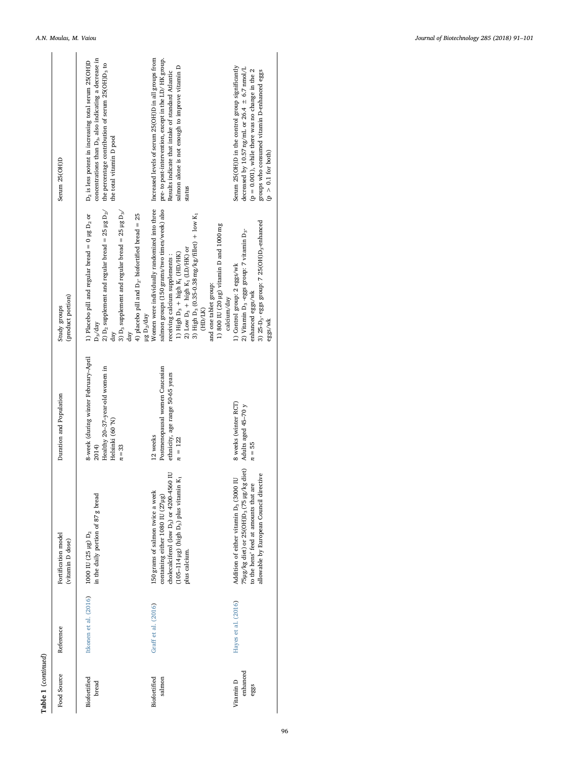| Table 1 (continued)           |                       |                                                                                                                                                                                                             |                                                                                                               |                                                                                                                                                                                                                                                                                                                                                                                                    |                                                                                                                                                                                                                                    |
|-------------------------------|-----------------------|-------------------------------------------------------------------------------------------------------------------------------------------------------------------------------------------------------------|---------------------------------------------------------------------------------------------------------------|----------------------------------------------------------------------------------------------------------------------------------------------------------------------------------------------------------------------------------------------------------------------------------------------------------------------------------------------------------------------------------------------------|------------------------------------------------------------------------------------------------------------------------------------------------------------------------------------------------------------------------------------|
| Food Source                   | Reference             | Fortification model<br>(vitamin D dose)                                                                                                                                                                     | Duration and Population                                                                                       | (product portion)<br>Study groups                                                                                                                                                                                                                                                                                                                                                                  | Serum 25(OH)D                                                                                                                                                                                                                      |
| Biofortified<br>bread         | Itkonen et al. (2016) | in the daily portion of 87 g bread<br>$1000$ IU (25 µg) $D_2$                                                                                                                                               | 8-week (during winter February-April<br>Healthy 20-37-year-old women in<br>Helsinki (60°N)<br>2014)<br>$n=33$ | 2) D <sub>2</sub> supplement and regular bread = 25 µg D <sub>2</sub> /<br>3) $D_3$ supplement and regular bread = 25 µg $D_3$ /<br>1) Placebo pill and regular bread = $0$ µg $D2$ or<br>4) placebo pill and $D_2$ - biofortified bread = 25<br>$\mu g D_2/day$<br>$D_3$ /day<br>day<br>day                                                                                                       | concentrations than D <sub>3</sub> , also indicating a decrease in<br>D <sub>2</sub> is less potent in increasing total serum 25(OH)D<br>the percentage contribution of serum 25(OH)D <sub>3</sub> to<br>the total vitamin D pool  |
| Biofortified<br>salmon        | Graff et al. (2016)   | Ξ<br>$(105-114 \text{ µg})$ (high $D_3$ ) plus vitamin $K_1$<br>cholecalciferol (low D <sub>3</sub> ) or 4200-4560<br>150 grams of salmon twice a week<br>containing either 1080 IU (27µg)<br>plus calcium. | Postmenopausal women Caucasian<br>ethnicity, age range 50-65 years<br>12 weeks<br>$n = 122$                   | Women were individually randomized into three<br>salmon groups (150 grams/two times/week) also<br>3) High D <sub>3</sub> (0.35-0.38 mg/kg/fillet) + low K <sub>1</sub><br>1) 800 IU (20 $\mu$ g) vitamin D and 1000 mg<br>2) Low $D_3$ + high K <sub>1</sub> (LD/HK) or<br>1) High $D_3$ + high $K_1$ (HD/HK)<br>receiving calcium supplements:<br>and one tablet group:<br>calcium/day<br>(HD/LK) | Increased levels of serum 25(OH)D in all groups from<br>pre- to post-intervention, except in the LD/HK group.<br>salmon alone is not enough to improve vitamin D<br>Results indicate that intake of standard Atlantic<br>status    |
| enhanced<br>Vitamin D<br>eggs | Hayes et al. (2016)   | 75µg/kg diet) or 25(OH)D <sub>3</sub> (75 µg/kg diet)<br>٥<br>Addition of either vitamin D <sub>3</sub> (3000 IU<br>allowable by European Council directiv<br>to the hens' feed at amounts that are         | 8 weeks (winter RCT)<br>Adults aged 45-70 y<br>$n = 55$                                                       | 3) 25-D <sub>3</sub> -eggs group: 7 25(OH)D <sub>3</sub> -enhanced<br>1)<br>Control group: 2 eggs/wk $2)$ Vitamin D<br>3 - eggs group: 7 vitamin D $_{3^{\circ}}$<br>enhanced eggs/wk<br>eggs/wk                                                                                                                                                                                                   | Serum 25(OH)D in the control group significantly<br>decreased by 10.57 ng/mL or 26.4 $\pm$ 6.7 nmol/L<br>$(p = 0.001)$ , while there was no change in the 2<br>groups who consumed vitamin D-enhanced eggs<br>$(p > 0.1$ for both) |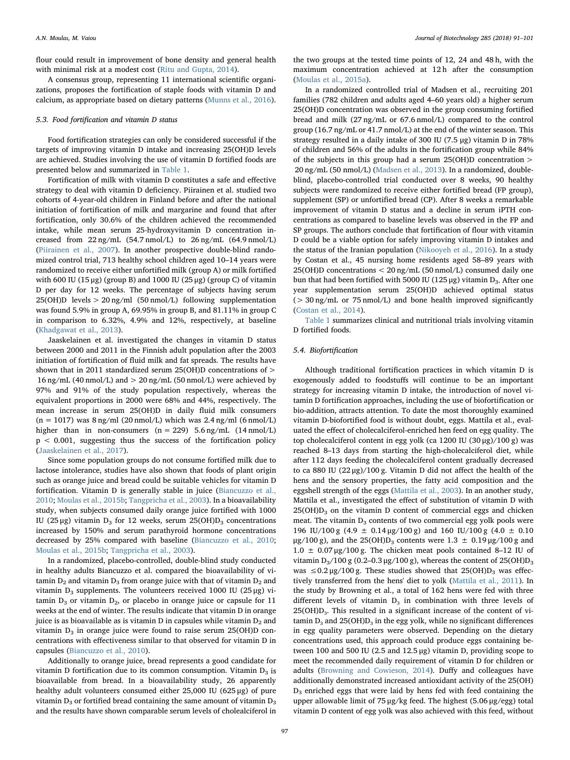flour could result in improvement of bone density and general health with minimal risk at a modest cost ([Ritu and Gupta, 2014\)](#page-9-42).

A consensus group, representing 11 international scientific organizations, proposes the fortification of staple foods with vitamin D and calcium, as appropriate based on dietary patterns [\(Munns et al., 2016](#page-9-43)).

#### 5.3. Food fortification and vitamin D status

Food fortification strategies can only be considered successful if the targets of improving vitamin D intake and increasing 25(OH)D levels are achieved. Studies involving the use of vitamin D fortified foods are presented below and summarized in [Table 1.](#page-3-0)

Fortification of milk with vitamin D constitutes a safe and effective strategy to deal with vitamin D deficiency. Piirainen et al. studied two cohorts of 4-year-old children in Finland before and after the national initiation of fortification of milk and margarine and found that after fortification, only 30.6% of the children achieved the recommended intake, while mean serum 25-hydroxyvitamin D concentration increased from 22 ng/mL (54.7 nmol/L) to 26 ng/mL (64.9 nmol/L) ([Piirainen et al., 2007](#page-9-33)). In another prospective double-blind randomized control trial, 713 healthy school children aged 10–14 years were randomized to receive either unfortified milk (group A) or milk fortified with 600 IU (15 μg) (group B) and 1000 IU (25 μg) (group C) of vitamin D per day for 12 weeks. The percentage of subjects having serum 25(OH)D levels > 20 ng/ml (50 nmol/L) following supplementation was found 5.9% in group A, 69.95% in group B, and 81.11% in group C in comparison to 6.32%, 4.9% and 12%, respectively, at baseline ([Khadgawat et al., 2013](#page-9-34)).

Jaaskelainen et al. investigated the changes in vitamin D status between 2000 and 2011 in the Finnish adult population after the 2003 initiation of fortification of fluid milk and fat spreads. The results have shown that in 2011 standardized serum 25(OH)D concentrations of > 16 ng/mL (40 nmol/L) and  $> 20$  ng/mL (50 nmol/L) were achieved by 97% and 91% of the study population respectively, whereas the equivalent proportions in 2000 were 68% and 44%, respectively. The mean increase in serum 25(OH)D in daily fluid milk consumers  $(n = 1017)$  was  $8 \text{ ng/ml}$  (20 nmol/L) which was 2.4 ng/ml (6 nmol/L) higher than in non-consumers  $(n = 229)$  5.6 ng/mL  $(14 \text{ nmol/L})$ p < 0.001, suggesting thus the success of the fortification policy ([Jaaskelainen et al., 2017](#page-9-35)).

Since some population groups do not consume fortified milk due to lactose intolerance, studies have also shown that foods of plant origin such as orange juice and bread could be suitable vehicles for vitamin D fortification. Vitamin D is generally stable in juice ([Biancuzzo et al.,](#page-8-12) [2010;](#page-8-12) [Moulas et al., 2015b;](#page-9-44) [Tangpricha et al., 2003\)](#page-9-6). In a bioavailability study, when subjects consumed daily orange juice fortified with 1000 IU (25 μg) vitamin D<sub>3</sub> for 12 weeks, serum 25(OH)D<sub>3</sub> concentrations increased by 150% and serum parathyroid hormone concentrations decreased by 25% compared with baseline [\(Biancuzzo et al., 2010](#page-8-12); [Moulas et al., 2015b;](#page-9-44) [Tangpricha et al., 2003](#page-9-6)).

In a randomized, placebo-controlled, double-blind study conducted in healthy adults Biancuzzo et al. compared the bioavailability of vitamin  $D_2$  and vitamin  $D_3$  from orange juice with that of vitamin  $D_2$  and vitamin D<sub>3</sub> supplements. The volunteers received 1000 IU (25 μg) vitamin  $D_3$  or vitamin  $D_2$ , or placebo in orange juice or capsule for 11 weeks at the end of winter. The results indicate that vitamin D in orange juice is as bioavailable as is vitamin D in capsules while vitamin  $D_2$  and vitamin  $D_3$  in orange juice were found to raise serum 25(OH)D concentrations with effectiveness similar to that observed for vitamin D in capsules ([Biancuzzo et al., 2010\)](#page-8-12).

Additionally to orange juice, bread represents a good candidate for vitamin D fortification due to its common consumption. Vitamin  $D_3$  is bioavailable from bread. In a bioavailability study, 26 apparently healthy adult volunteers consumed either 25,000 IU (625 μg) of pure vitamin  $D_3$  or fortified bread containing the same amount of vitamin  $D_3$ and the results have shown comparable serum levels of cholealciferol in

the two groups at the tested time points of 12, 24 and 48 h, with the maximum concentration achieved at 12 h after the consumption ([Moulas et al., 2015a\)](#page-9-38).

In a randomized controlled trial of Madsen et al., recruiting 201 families (782 children and adults aged 4–60 years old) a higher serum 25(OH)D concentration was observed in the group consuming fortified bread and milk (27 ng/mL or 67.6 nmol/L) compared to the control group (16.7 ng/mL or 41.7 nmol/L) at the end of the winter season. This strategy resulted in a daily intake of 300 IU (7.5 μg) vitamin D in 78% of children and 56% of the adults in the fortification group while 84% of the subjects in this group had a serum 25(OH)D concentration > 20 ng/mL (50 nmol/L) ([Madsen et al., 2013\)](#page-9-37). In a randomized, doubleblind, placebo-controlled trial conducted over 8 weeks, 90 healthy subjects were randomized to receive either fortified bread (FP group), supplement (SP) or unfortified bread (CP). After 8 weeks a remarkable improvement of vitamin D status and a decline in serum iPTH concentrations as compared to baseline levels was observed in the FP and SP groups. The authors conclude that fortification of flour with vitamin D could be a viable option for safely improving vitamin D intakes and the status of the Iranian population ([Nikooyeh et al., 2016\)](#page-9-5). In a study by Costan et al., 45 nursing home residents aged 58–89 years with 25(OH)D concentrations < 20 ng/mL (50 nmol/L) consumed daily one bun that had been fortified with 5000 IU (125 μg) vitamin  $D_3$ . After one year supplementation serum 25(OH)D achieved optimal status (> 30 ng/mL or 75 nmol/L) and bone health improved significantly ([Costan et al., 2014\)](#page-9-45).

[Table 1](#page-3-0) summarizes clinical and nutritional trials involving vitamin D fortified foods.

#### 5.4. Biofortification

Although traditional fortification practices in which vitamin D is exogenously added to foodstuffs will continue to be an important strategy for increasing vitamin D intake, the introduction of novel vitamin D fortification approaches, including the use of biofortification or bio-addition, attracts attention. To date the most thoroughly examined vitamin D-biofortified food is without doubt, eggs. Mattila et al., evaluated the effect of cholecalciferol-enriched hen feed on egg quality. The top cholecalciferol content in egg yolk (ca 1200 IU (30 μg)/100 g) was reached 8–13 days from starting the high-cholecalciferol diet, while after 112 days feeding the cholecalciferol content gradually decreased to ca 880 IU (22 μg)/100 g. Vitamin D did not affect the health of the hens and the sensory properties, the fatty acid composition and the eggshell strength of the eggs ([Mattila et al., 2003](#page-9-46)). In an another study, Mattila et al., investigated the effect of substitution of vitamin D with  $25(OH)D<sub>3</sub>$  on the vitamin D content of commercial eggs and chicken meat. The vitamin  $D_3$  contents of two commercial egg yolk pools were 196 IU/100 g (4.9  $\pm$  0.14 μg/100 g) and 160 IU/100 g (4.0  $\pm$  0.10 μg/100 g), and the 25(OH)D<sub>3</sub> contents were 1.3  $\pm$  0.19 μg/100 g and  $1.0 \pm 0.07 \,\mu$ g/100 g. The chicken meat pools contained 8-12 IU of vitamin D<sub>3</sub>/100 g (0.2–0.3 μg/100 g), whereas the content of 25(OH)D<sub>3</sub> was  $\leq 0.2 \mu$ g/100 g. These studies showed that 25(OH)D<sub>3</sub> was effectively transferred from the hens' diet to yolk ([Mattila et al., 2011](#page-9-47)). In the study by Browning et al., a total of 162 hens were fed with three different levels of vitamin  $D_3$  in combination with three levels of  $25(OH)D<sub>3</sub>$ . This resulted in a significant increase of the content of vitamin  $D_3$  and 25(OH) $D_3$  in the egg yolk, while no significant differences in egg quality parameters were observed. Depending on the dietary concentrations used, this approach could produce eggs containing between 100 and 500 IU (2.5 and 12.5 μg) vitamin D, providing scope to meet the recommended daily requirement of vitamin D for children or adults [\(Browning and Cowieson, 2014](#page-8-14)). Duffy and colleagues have additionally demonstrated increased antioxidant activity of the 25(OH)  $D_3$  enriched eggs that were laid by hens fed with feed containing the upper allowable limit of 75 μg/kg feed. The highest (5.06 μg/egg) total vitamin D content of egg yolk was also achieved with this feed, without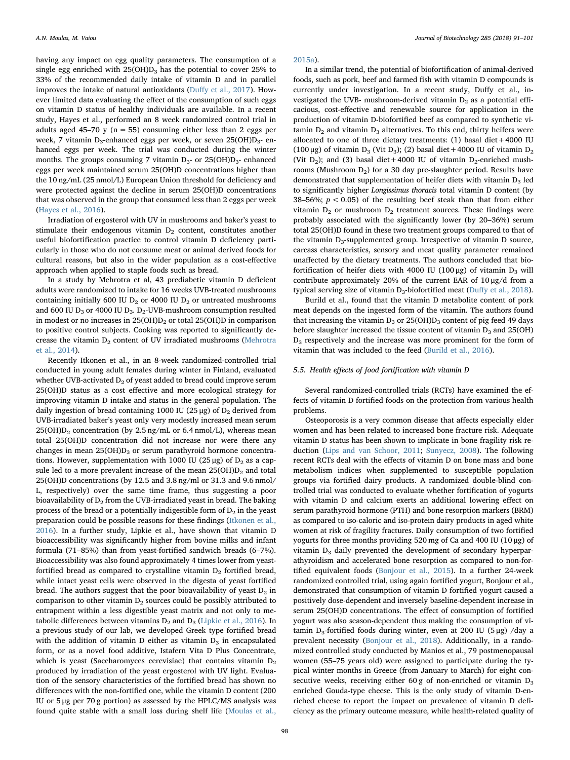having any impact on egg quality parameters. The consumption of a single egg enriched with  $25(OH)D<sub>3</sub>$  has the potential to cover 25% to 33% of the recommended daily intake of vitamin D and in parallel improves the intake of natural antioxidants (Duff[y et al., 2017\)](#page-9-48). However limited data evaluating the effect of the consumption of such eggs on vitamin D status of healthy individuals are available. In a recent study, Hayes et al., performed an 8 week randomized control trial in adults aged 45–70 y ( $n = 55$ ) consuming either less than 2 eggs per week, 7 vitamin D<sub>3</sub>-enhanced eggs per week, or seven 25(OH)D<sub>3</sub>- enhanced eggs per week. The trial was conducted during the winter months. The groups consuming 7 vitamin  $D_3$ - or 25(OH) $D_3$ - enhanced eggs per week maintained serum 25(OH)D concentrations higher than the 10 ng/mL (25 nmol/L) European Union threshold for deficiency and were protected against the decline in serum 25(OH)D concentrations that was observed in the group that consumed less than 2 eggs per week ([Hayes et al., 2016](#page-9-41)).

Irradiation of ergosterol with UV in mushrooms and baker's yeast to stimulate their endogenous vitamin  $D_2$  content, constitutes another useful biofortification practice to control vitamin D deficiency particularly in those who do not consume meat or animal derived foods for cultural reasons, but also in the wider population as a cost-effective approach when applied to staple foods such as bread.

In a study by Mehrotra et al, 43 prediabetic vitamin D deficient adults were randomized to intake for 16 weeks UVB-treated mushrooms containing initially 600 IU  $D_2$  or 4000 IU  $D_2$  or untreated mushrooms and 600 IU  $D_3$  or 4000 IU  $D_3$ .  $D_2$ -UVB-mushroom consumption resulted in modest or no increases in  $25(OH)D<sub>2</sub>$  or total  $25(OH)D$  in comparison to positive control subjects. Cooking was reported to significantly decrease the vitamin  $D_2$  content of UV irradiated mushrooms ([Mehrotra](#page-9-49) [et al., 2014](#page-9-49)).

Recently Itkonen et al., in an 8-week randomized-controlled trial conducted in young adult females during winter in Finland, evaluated whether UVB-activated  $D_2$  of yeast added to bread could improve serum 25(OH)D status as a cost effective and more ecological strategy for improving vitamin D intake and status in the general population. The daily ingestion of bread containing 1000 IU (25 μg) of  $D_2$  derived from UVB-irradiated baker's yeast only very modestly increased mean serum  $25(OH)D<sub>2</sub>$  concentration (by 2.5 ng/mL or 6.4 nmol/L), whereas mean total 25(OH)D concentration did not increase nor were there any changes in mean  $25(OH)D<sub>3</sub>$  or serum parathyroid hormone concentrations. However, supplementation with 1000 IU (25 μg) of  $D_2$  as a capsule led to a more prevalent increase of the mean  $25(OH)D<sub>2</sub>$  and total 25(OH)D concentrations (by 12.5 and 3.8 ng/ml or 31.3 and 9.6 nmol/ L, respectively) over the same time frame, thus suggesting a poor bioavailability of  $D_2$  from the UVB-irradiated yeast in bread. The baking process of the bread or a potentially indigestible form of  $D_2$  in the yeast preparation could be possible reasons for these findings ([Itkonen et al.,](#page-9-39) [2016\)](#page-9-39). In a further study, Lipkie et al., have shown that vitamin D bioaccessibility was significantly higher from bovine milks and infant formula (71–85%) than from yeast-fortified sandwich breads (6–7%). Bioaccessibility was also found approximately 4 times lower from yeastfortified bread as compared to crystalline vitamin  $D_2$  fortified bread, while intact yeast cells were observed in the digesta of yeast fortified bread. The authors suggest that the poor bioavailability of yeast  $D_2$  in comparison to other vitamin  $D_2$  sources could be possibly attributed to entrapment within a less digestible yeast matrix and not only to metabolic differences between vitamins  $D_2$  and  $D_3$  ([Lipkie et al., 2016\)](#page-9-50). In a previous study of our lab, we developed Greek type fortified bread with the addition of vitamin  $D$  either as vitamin  $D_3$  in encapsulated form, or as a novel food additive, Istafern Vita D Plus Concentrate, which is yeast (Saccharomyces cerevisiae) that contains vitamin  $D_2$ produced by irradiation of the yeast ergosterol with UV light. Evaluation of the sensory characteristics of the fortified bread has shown no differences with the non-fortified one, while the vitamin D content (200 IU or 5 μg per 70 g portion) as assessed by the HPLC/MS analysis was found quite stable with a small loss during shelf life ([Moulas et al.,](#page-9-38)

#### [2015a\)](#page-9-38).

In a similar trend, the potential of biofortification of animal-derived foods, such as pork, beef and farmed fish with vitamin D compounds is currently under investigation. In a recent study, Duffy et al., investigated the UVB- mushroom-derived vitamin  $D_2$  as a potential efficacious, cost-effective and renewable source for application in the production of vitamin D-biofortified beef as compared to synthetic vitamin  $D_2$  and vitamin  $D_3$  alternatives. To this end, thirty heifers were allocated to one of three dietary treatments:  $(1)$  basal diet +4000 IU (100 μg) of vitamin D<sub>3</sub> (Vit D<sub>3</sub>); (2) basal diet +4000 IU of vitamin D<sub>2</sub> (Vit D<sub>2</sub>); and (3) basal diet +4000 IU of vitamin D<sub>2</sub>-enriched mushrooms (Mushroom  $D_2$ ) for a 30 day pre-slaughter period. Results have demonstrated that supplementation of heifer diets with vitamin  $D_3$  led to significantly higher Longissimus thoracis total vitamin D content (by 38–56%;  $p < 0.05$ ) of the resulting beef steak than that from either vitamin  $D_2$  or mushroom  $D_2$  treatment sources. These findings were probably associated with the significantly lower (by 20–36%) serum total 25(OH)D found in these two treatment groups compared to that of the vitamin D<sub>3</sub>-supplemented group. Irrespective of vitamin D source, carcass characteristics, sensory and meat quality parameter remained unaffected by the dietary treatments. The authors concluded that biofortification of heifer diets with 4000 IU (100 μg) of vitamin  $D_3$  will contribute approximately 20% of the current EAR of 10 μg/d from a typical serving size of vitamin  $D_3$ -biofortified meat (Duff[y et al., 2018](#page-9-51)).

Burild et al., found that the vitamin D metabolite content of pork meat depends on the ingested form of the vitamin. The authors found that increasing the vitamin  $D_3$  or 25(OH) $D_3$  content of pig feed 49 days before slaughter increased the tissue content of vitamin  $D_3$  and 25(OH) D3 respectively and the increase was more prominent for the form of vitamin that was included to the feed [\(Burild et al., 2016\)](#page-8-15).

#### 5.5. Health effects of food fortification with vitamin D

Several randomized-controlled trials (RCTs) have examined the effects of vitamin D fortified foods on the protection from various health problems.

Osteoporosis is a very common disease that affects especially elder women and has been related to increased bone fracture risk. Adequate vitamin D status has been shown to implicate in bone fragility risk reduction [\(Lips and van Schoor, 2011;](#page-9-20) [Sunyecz, 2008](#page-9-21)). The following recent RCTs deal with the effects of vitamin D on bone mass and bone metabolism indices when supplemented to susceptible population groups via fortified dairy products. A randomized double-blind controlled trial was conducted to evaluate whether fortification of yogurts with vitamin D and calcium exerts an additional lowering effect on serum parathyroid hormone (PTH) and bone resorption markers (BRM) as compared to iso-caloric and iso-protein dairy products in aged white women at risk of fragility fractures. Daily consumption of two fortified yogurts for three months providing 520 mg of Ca and 400 IU (10 μg) of vitamin D<sub>3</sub> daily prevented the development of secondary hyperparathyroidism and accelerated bone resorption as compared to non-fortified equivalent foods ([Bonjour et al., 2015](#page-8-10)). In a further 24-week randomized controlled trial, using again fortified yogurt, Bonjour et al., demonstrated that consumption of vitamin D fortified yogurt caused a positively dose-dependent and inversely baseline-dependent increase in serum 25(OH)D concentrations. The effect of consumption of fortified yogurt was also season-dependent thus making the consumption of vitamin D<sub>3</sub>-fortified foods during winter, even at 200 IU (5  $\mu$ g) /day a prevalent necessity [\(Bonjour et al., 2018](#page-8-11)). Additionally, in a randomized controlled study conducted by Manios et al., 79 postmenopausal women (55–75 years old) were assigned to participate during the typical winter months in Greece (from January to March) for eight consecutive weeks, receiving either  $60 g$  of non-enriched or vitamin  $D_3$ enriched Gouda-type cheese. This is the only study of vitamin D-enriched cheese to report the impact on prevalence of vitamin D deficiency as the primary outcome measure, while health-related quality of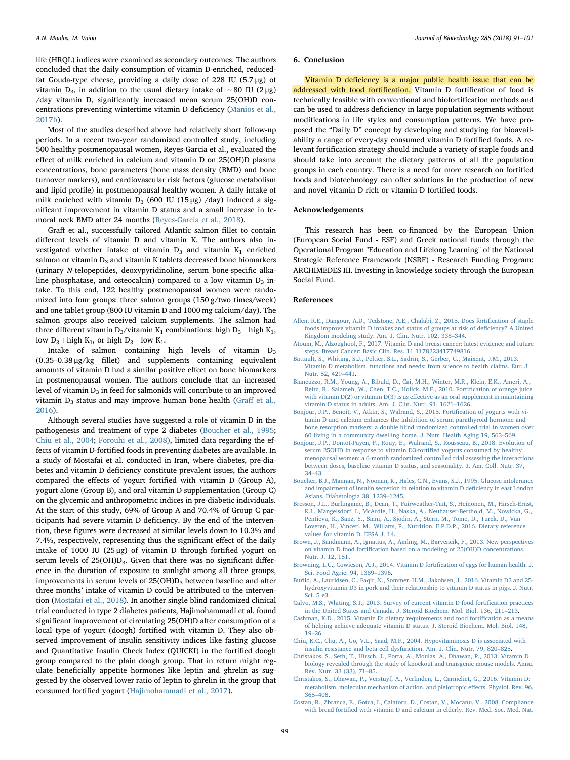life (HRQL) indices were examined as secondary outcomes. The authors concluded that the daily consumption of vitamin D-enriched, reducedfat Gouda-type cheese, providing a daily dose of 228 IU (5.7 μg) of vitamin D<sub>3</sub>, in addition to the usual dietary intake of ~80 IU (2 μg) /day vitamin D, significantly increased mean serum 25(OH)D concentrations preventing wintertime vitamin D deficiency [\(Manios et al.,](#page-9-32) [2017b\)](#page-9-32).

Most of the studies described above had relatively short follow-up periods. In a recent two-year randomized controlled study, including 500 healthy postmenopausal women, Reyes-Garcia et al., evaluated the effect of milk enriched in calcium and vitamin D on 25(OH)D plasma concentrations, bone parameters (bone mass density (BMD) and bone turnover markers), and cardiovascular risk factors (glucose metabolism and lipid profile) in postmenopausal healthy women. A daily intake of milk enriched with vitamin  $D_3$  (600 IU (15 μg) /day) induced a significant improvement in vitamin D status and a small increase in femoral neck BMD after 24 months [\(Reyes-Garcia et al., 2018\)](#page-9-36).

Graff et al., successfully tailored Atlantic salmon fillet to contain different levels of vitamin D and vitamin K. The authors also investigated whether intake of vitamin  $D_3$  and vitamin  $K_1$  enriched salmon or vitamin  $D_3$  and vitamin K tablets decreased bone biomarkers (urinary N-telopeptides, deoxypyridinoline, serum bone-specific alkaline phosphatase, and osteocalcin) compared to a low vitamin  $D_3$  intake. To this end, 122 healthy postmenopausal women were randomized into four groups: three salmon groups (150 g/two times/week) and one tablet group (800 IU vitamin D and 1000 mg calcium/day). The salmon groups also received calcium supplements. The salmon had three different vitamin D<sub>3</sub>/vitamin K<sub>1</sub> combinations: high D<sub>3</sub> + high K<sub>1</sub>, low  $D_3$  + high K<sub>1</sub>, or high  $D_3$  + low K<sub>1</sub>.

Intake of salmon containing high levels of vitamin  $D_3$ (0.35–0.38 μg/kg fillet) and supplements containing equivalent amounts of vitamin D had a similar positive effect on bone biomarkers in postmenopausal women. The authors conclude that an increased level of vitamin  $D_3$  in feed for salmonids will contribute to an improved vitamin  $D_3$  status and may improve human bone health (Graff [et al.,](#page-9-40) [2016\)](#page-9-40).

Although several studies have suggested a role of vitamin D in the pathogenesis and treatment of type 2 diabetes [\(Boucher et al., 1995](#page-8-16); [Chiu et al., 2004](#page-8-5); [Forouhi et al., 2008\)](#page-9-25), limited data regarding the effects of vitamin D-fortified foods in preventing diabetes are available. In a study of Mostafai et al. conducted in Iran, where diabetes, pre-diabetes and vitamin D deficiency constitute prevalent issues, the authors compared the effects of yogurt fortified with vitamin D (Group A), yogurt alone (Group B), and oral vitamin D supplementation (Group C) on the glycemic and anthropometric indices in pre-diabetic individuals. At the start of this study, 69% of Group A and 70.4% of Group C participants had severe vitamin D deficiency. By the end of the intervention, these figures were decreased at similar levels down to 10.3% and 7.4%, respectively, representing thus the significant effect of the daily intake of 1000 IU (25 μg) of vitamin D through fortified yogurt on serum levels of 25(OH)D<sub>3</sub>. Given that there was no significant difference in the duration of exposure to sunlight among all three groups, improvements in serum levels of  $25(OH)D<sub>3</sub>$  between baseline and after three months' intake of vitamin D could be attributed to the intervention ([Mostafai et al., 2018](#page-9-30)). In another single blind randomized clinical trial conducted in type 2 diabetes patients, Hajimohammadi et al. found significant improvement of circulating 25(OH)D after consumption of a local type of yogurt (doogh) fortified with vitamin D. They also observed improvement of insulin sensitivity indices like fasting glucose and Quantitative Insulin Check Index (QUICKI) in the fortified doogh group compared to the plain doogh group. That in return might regulate beneficially appetite hormones like leptin and ghrelin as suggested by the observed lower ratio of leptin to ghrelin in the group that consumed fortified yogurt ([Hajimohammadi et al., 2017](#page-9-31)).

#### 6. Conclusion

Vitamin D deficiency is a major public health issue that can be addressed with food fortification. Vitamin D fortification of food is technically feasible with conventional and biofortification methods and can be used to address deficiency in large population segments without modifications in life styles and consumption patterns. We have proposed the "Daily D" concept by developing and studying for bioavailability a range of every-day consumed vitamin D fortified foods. A relevant fortification strategy should include a variety of staple foods and should take into account the dietary patterns of all the population groups in each country. There is a need for more research on fortified foods and biotechnology can offer solutions in the production of new and novel vitamin D rich or vitamin D fortified foods.

### Acknowledgements

This research has been co-financed by the European Union (European Social Fund - ESF) and Greek national funds through the Operational Program "Education and Lifelong Learning" of the National Strategic Reference Framework (NSRF) - Research Funding Program: ARCHIMEDES III. Investing in knowledge society through the European Social Fund.

#### References

- <span id="page-8-9"></span>[Allen, R.E., Dangour, A.D., Tedstone, A.E., Chalabi, Z., 2015. Does forti](http://refhub.elsevier.com/S0168-1656(18)30609-6/sbref0005)fication of staple [foods improve vitamin D intakes and status of groups at risk of de](http://refhub.elsevier.com/S0168-1656(18)30609-6/sbref0005)ficiency? A United [Kingdom modeling study. Am. J. Clin. Nutr. 102, 338](http://refhub.elsevier.com/S0168-1656(18)30609-6/sbref0005)–344.
- <span id="page-8-4"></span>[Atoum, M., Alzoughool, F., 2017. Vitamin D and breast cancer: latest evidence and future](http://refhub.elsevier.com/S0168-1656(18)30609-6/sbref0010) [steps. Breast Cancer: Basic Clin. Res. 11 1178223417749816.](http://refhub.elsevier.com/S0168-1656(18)30609-6/sbref0010)
- <span id="page-8-3"></span>[Battault, S., Whiting, S.J., Peltier, S.L., Sadrin, S., Gerber, G., Maixent, J.M., 2013.](http://refhub.elsevier.com/S0168-1656(18)30609-6/sbref0015) [Vitamin D metabolism, functions and needs: from science to health claims. Eur. J.](http://refhub.elsevier.com/S0168-1656(18)30609-6/sbref0015) [Nutr. 52, 429](http://refhub.elsevier.com/S0168-1656(18)30609-6/sbref0015)–441.
- <span id="page-8-12"></span>[Biancuzzo, R.M., Young, A., Bibuld, D., Cai, M.H., Winter, M.R., Klein, E.K., Ameri, A.,](http://refhub.elsevier.com/S0168-1656(18)30609-6/sbref0020) [Reitz, R., Salameh, W., Chen, T.C., Holick, M.F., 2010. Forti](http://refhub.elsevier.com/S0168-1656(18)30609-6/sbref0020)fication of orange juice with vitamin D(2) or vitamin D(3) is as eff[ective as an oral supplement in maintaining](http://refhub.elsevier.com/S0168-1656(18)30609-6/sbref0020) [vitamin D status in adults. Am. J. Clin. Nutr. 91, 1621](http://refhub.elsevier.com/S0168-1656(18)30609-6/sbref0020)–1626.
- <span id="page-8-10"></span>[Bonjour, J.P., Benoit, V., Atkin, S., Walrand, S., 2015. Forti](http://refhub.elsevier.com/S0168-1656(18)30609-6/sbref0025)fication of yogurts with vi[tamin D and calcium enhances the inhibition of serum parathyroid hormone and](http://refhub.elsevier.com/S0168-1656(18)30609-6/sbref0025) [bone resorption markers: a double blind randomized controlled trial in women over](http://refhub.elsevier.com/S0168-1656(18)30609-6/sbref0025) [60 living in a community dwelling home. J. Nutr. Health Aging 19, 563](http://refhub.elsevier.com/S0168-1656(18)30609-6/sbref0025)–569.
- <span id="page-8-11"></span>[Bonjour, J.P., Dontot-Payen, F., Rouy, E., Walrand, S., Rousseau, B., 2018. Evolution of](http://refhub.elsevier.com/S0168-1656(18)30609-6/sbref0030) [serum 25OHD in response to vitamin D3-forti](http://refhub.elsevier.com/S0168-1656(18)30609-6/sbref0030)fied yogurts consumed by healthy [menopausal women: a 6-month randomized controlled trial assessing the interactions](http://refhub.elsevier.com/S0168-1656(18)30609-6/sbref0030) [between doses, baseline vitamin D status, and seasonality. J. Am. Coll. Nutr. 37,](http://refhub.elsevier.com/S0168-1656(18)30609-6/sbref0030) 34–[43](http://refhub.elsevier.com/S0168-1656(18)30609-6/sbref0030).
- <span id="page-8-16"></span>[Boucher, B.J., Mannan, N., Noonan, K., Hales, C.N., Evans, S.J., 1995. Glucose intolerance](http://refhub.elsevier.com/S0168-1656(18)30609-6/sbref0035) [and impairment of insulin secretion in relation to vitamin D de](http://refhub.elsevier.com/S0168-1656(18)30609-6/sbref0035)ficiency in east London [Asians. Diabetologia 38, 1239](http://refhub.elsevier.com/S0168-1656(18)30609-6/sbref0035)–1245.
- <span id="page-8-2"></span>[Bresson, J.L., Burlingame, B., Dean, T., Fairweather-Tait, S., Heinonen, M., Hirsch-Ernst,](http://refhub.elsevier.com/S0168-1656(18)30609-6/sbref0040) [K.I., Mangelsdorf, I., McArdle, H., Naska, A., Neuhauser-Berthold, M., Nowicka, G.,](http://refhub.elsevier.com/S0168-1656(18)30609-6/sbref0040) [Pentieva, K., Sanz, Y., Siani, A., Sjodin, A., Stern, M., Tome, D., Turck, D., Van](http://refhub.elsevier.com/S0168-1656(18)30609-6/sbref0040) [Loveren, H., Vinceti, M., Willatts, P., Nutrition, E.P.D.P., 2016. Dietary reference](http://refhub.elsevier.com/S0168-1656(18)30609-6/sbref0040) [values for vitamin D. EFSA J. 14.](http://refhub.elsevier.com/S0168-1656(18)30609-6/sbref0040)
- <span id="page-8-8"></span>[Brown, J., Sandmann, A., Ignatius, A., Amling, M., Barvencik, F., 2013. New perspectives](http://refhub.elsevier.com/S0168-1656(18)30609-6/sbref0045) on vitamin D food fortifi[cation based on a modeling of 25\(OH\)D concentrations.](http://refhub.elsevier.com/S0168-1656(18)30609-6/sbref0045) [Nutr. J. 12, 151](http://refhub.elsevier.com/S0168-1656(18)30609-6/sbref0045).
- <span id="page-8-14"></span>[Browning, L.C., Cowieson, A.J., 2014. Vitamin D forti](http://refhub.elsevier.com/S0168-1656(18)30609-6/sbref0050)fication of eggs for human health. J. [Sci. Food Agric. 94, 1389](http://refhub.elsevier.com/S0168-1656(18)30609-6/sbref0050)–1396.
- <span id="page-8-15"></span>[Burild, A., Lauridsen, C., Faqir, N., Sommer, H.M., Jakobsen, J., 2016. Vitamin D3 and 25](http://refhub.elsevier.com/S0168-1656(18)30609-6/sbref0055) [hydroxyvitamin D3 in pork and their relationship to vitamin D status in pigs. J. Nutr.](http://refhub.elsevier.com/S0168-1656(18)30609-6/sbref0055) [Sci. 5 e3](http://refhub.elsevier.com/S0168-1656(18)30609-6/sbref0055).
- <span id="page-8-6"></span>[Calvo, M.S., Whiting, S.J., 2013. Survey of current vitamin D food forti](http://refhub.elsevier.com/S0168-1656(18)30609-6/sbref0060)fication practices [in the United States and Canada. J. Steroid Biochem. Mol. Biol. 136, 211](http://refhub.elsevier.com/S0168-1656(18)30609-6/sbref0060)–213.
- <span id="page-8-7"></span>[Cashman, K.D., 2015. Vitamin D: dietary requirements and food forti](http://refhub.elsevier.com/S0168-1656(18)30609-6/sbref0065)fication as a means [of helping achieve adequate vitamin D status. J. Steroid Biochem. Mol. Biol. 148,](http://refhub.elsevier.com/S0168-1656(18)30609-6/sbref0065) 19–[26](http://refhub.elsevier.com/S0168-1656(18)30609-6/sbref0065).
- <span id="page-8-5"></span>[Chiu, K.C., Chu, A., Go, V.L., Saad, M.F., 2004. Hypovitaminosis D is associated with](http://refhub.elsevier.com/S0168-1656(18)30609-6/sbref0070) [insulin resistance and beta cell dysfunction. Am. J. Clin. Nutr. 79, 820](http://refhub.elsevier.com/S0168-1656(18)30609-6/sbref0070)–825.
- <span id="page-8-0"></span>[Christakos, S., Seth, T., Hirsch, J., Porta, A., Moulas, A., Dhawan, P., 2013. Vitamin D](http://refhub.elsevier.com/S0168-1656(18)30609-6/sbref0075) [biology revealed through the study of knockout and transgenic mouse models. Annu.](http://refhub.elsevier.com/S0168-1656(18)30609-6/sbref0075) [Rev. Nutr. 33 \(33\), 71](http://refhub.elsevier.com/S0168-1656(18)30609-6/sbref0075)–85.
- <span id="page-8-1"></span>Christakos, [S., Dhawan, P., Verstuyf, A., Verlinden, L., Carmeliet, G., 2016. Vitamin D:](http://refhub.elsevier.com/S0168-1656(18)30609-6/sbref0080) [metabolism, molecular mechanism of action, and pleiotropic e](http://refhub.elsevier.com/S0168-1656(18)30609-6/sbref0080)ffects. Physiol. Rev. 96, 365–[408](http://refhub.elsevier.com/S0168-1656(18)30609-6/sbref0080).
- <span id="page-8-13"></span>[Costan, R., Zbranca, E., Gotca, I., Calatoru, D., Costan, V., Mocanu, V., 2008. Compliance](http://refhub.elsevier.com/S0168-1656(18)30609-6/sbref0085) with bread fortifi[ed with vitamin D and calcium in elderly. Rev. Med. Soc. Med. Nat.](http://refhub.elsevier.com/S0168-1656(18)30609-6/sbref0085)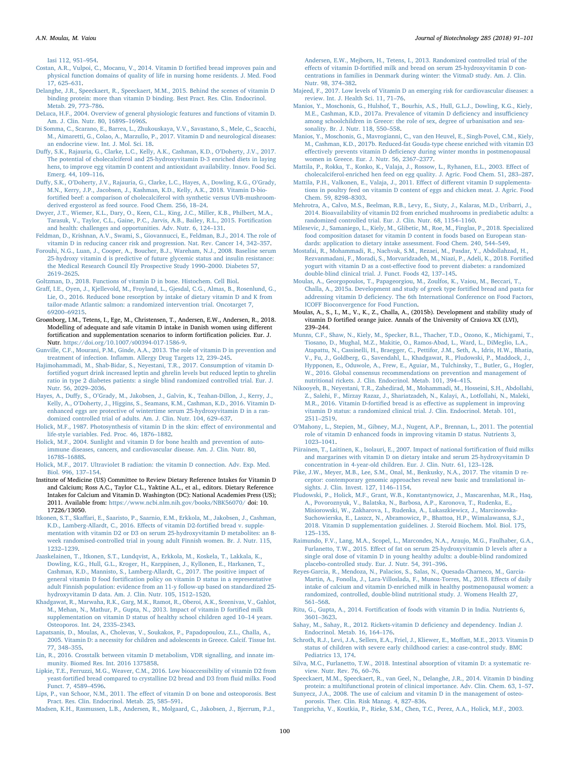[Iasi 112, 951](http://refhub.elsevier.com/S0168-1656(18)30609-6/sbref0085)–954.

- <span id="page-9-45"></span>[Costan, A.R., Vulpoi, C., Mocanu, V., 2014. Vitamin D forti](http://refhub.elsevier.com/S0168-1656(18)30609-6/sbref0090)fied bread improves pain and [physical function domains of quality of life in nursing home residents. J. Med. Food](http://refhub.elsevier.com/S0168-1656(18)30609-6/sbref0090) [17, 625](http://refhub.elsevier.com/S0168-1656(18)30609-6/sbref0090)–631.
- <span id="page-9-7"></span>[Delanghe, J.R., Speeckaert, R., Speeckaert, M.M., 2015. Behind the scenes of vitamin D](http://refhub.elsevier.com/S0168-1656(18)30609-6/sbref0095) [binding protein: more than vitamin D binding. Best Pract. Res. Clin. Endocrinol.](http://refhub.elsevier.com/S0168-1656(18)30609-6/sbref0095) [Metab. 29, 773](http://refhub.elsevier.com/S0168-1656(18)30609-6/sbref0095)–786.
- <span id="page-9-2"></span>[DeLuca, H.F., 2004. Overview of general physiologic features and functions of vitamin D.](http://refhub.elsevier.com/S0168-1656(18)30609-6/sbref0100) [Am. J. Clin. Nutr. 80, 1689S](http://refhub.elsevier.com/S0168-1656(18)30609-6/sbref0100)–1696S.
- <span id="page-9-26"></span>[Di Somma, C., Scarano, E., Barrea, L., Zhukouskaya, V.V., Savastano, S., Mele, C., Scacchi,](http://refhub.elsevier.com/S0168-1656(18)30609-6/sbref0105) [M., Aimaretti, G., Colao, A., Marzullo, P., 2017. Vitamin D and neurological diseases:](http://refhub.elsevier.com/S0168-1656(18)30609-6/sbref0105) [an endocrine view. Int. J. Mol. Sci. 18.](http://refhub.elsevier.com/S0168-1656(18)30609-6/sbref0105)
- <span id="page-9-48"></span>Duff[y, S.K., Rajauria, G., Clarke, L.C., Kelly, A.K., Cashman, K.D., O](http://refhub.elsevier.com/S0168-1656(18)30609-6/sbref0110)'Doherty, J.V., 2017. [The potential of cholecalciferol and 25-hydroxyvitamin D-3 enriched diets in laying](http://refhub.elsevier.com/S0168-1656(18)30609-6/sbref0110) [hens, to improve egg vitamin D content and antioxidant availability. Innov. Food Sci.](http://refhub.elsevier.com/S0168-1656(18)30609-6/sbref0110) [Emerg. 44, 109](http://refhub.elsevier.com/S0168-1656(18)30609-6/sbref0110)–116.
- <span id="page-9-51"></span>Duffy, S.K., O'[Doherty, J.V., Rajauria, G., Clarke, L.C., Hayes, A., Dowling, K.G., O](http://refhub.elsevier.com/S0168-1656(18)30609-6/sbref0115)'Grady, [M.N., Kerry, J.P., Jacobsen, J., Kashman, K.D., Kelly, A.K., 2018. Vitamin D-bio](http://refhub.elsevier.com/S0168-1656(18)30609-6/sbref0115)fortifi[ed beef: a comparison of cholecalciferol with synthetic versus UVB-mushroom](http://refhub.elsevier.com/S0168-1656(18)30609-6/sbref0115)[derived ergosterol as feed source. Food Chem. 256, 18](http://refhub.elsevier.com/S0168-1656(18)30609-6/sbref0115)–24.
- <span id="page-9-28"></span>[Dwyer, J.T., Wiemer, K.L., Dary, O., Keen, C.L., King, J.C., Miller, K.B., Philbert, M.A.,](http://refhub.elsevier.com/S0168-1656(18)30609-6/sbref0120) [Tarasuk, V., Taylor, C.L., Gaine, P.C., Jarvis, A.B., Bailey, R.L., 2015. Forti](http://refhub.elsevier.com/S0168-1656(18)30609-6/sbref0120)fication [and health: challenges and opportunities. Adv. Nutr. 6, 124](http://refhub.elsevier.com/S0168-1656(18)30609-6/sbref0120)–131.
- <span id="page-9-24"></span>[Feldman, D., Krishnan, A.V., Swami, S., Giovannucci, E., Feldman, B.J., 2014. The role of](http://refhub.elsevier.com/S0168-1656(18)30609-6/sbref0125) [vitamin D in reducing cancer risk and progression. Nat. Rev. Cancer 14, 342](http://refhub.elsevier.com/S0168-1656(18)30609-6/sbref0125)–357.
- <span id="page-9-25"></span>[Forouhi, N.G., Luan, J., Cooper, A., Boucher, B.J., Wareham, N.J., 2008. Baseline serum](http://refhub.elsevier.com/S0168-1656(18)30609-6/sbref0130) [25-hydroxy vitamin d is predictive of future glycemic status and insulin resistance:](http://refhub.elsevier.com/S0168-1656(18)30609-6/sbref0130) [the Medical Research Council Ely Prospective Study 1990](http://refhub.elsevier.com/S0168-1656(18)30609-6/sbref0130)–2000. Diabetes 57, 2619–[2625](http://refhub.elsevier.com/S0168-1656(18)30609-6/sbref0130).
- <span id="page-9-19"></span>[Goltzman, D., 2018. Functions of vitamin D in bone. Histochem. Cell Biol](http://refhub.elsevier.com/S0168-1656(18)30609-6/sbref0135).
- <span id="page-9-40"></span>Graff[, I.E., Oyen, J., Kjellevold, M., Froyland, L., Gjesdal, C.G., Almas, B., Rosenlund, G.,](http://refhub.elsevier.com/S0168-1656(18)30609-6/sbref0140) [Lie, O., 2016. Reduced bone resorption by intake of dietary vitamin D and K from](http://refhub.elsevier.com/S0168-1656(18)30609-6/sbref0140) [tailor-made Atlantic salmon: a randomized intervention trial. Oncotarget 7,](http://refhub.elsevier.com/S0168-1656(18)30609-6/sbref0140) 69200–[69215.](http://refhub.elsevier.com/S0168-1656(18)30609-6/sbref0140)
- <span id="page-9-29"></span>Groønborg, I.M., Tetens, I., Ege, M., Christensen, T., Andersen, E.W., Andersen, R., 2018. Modelling of adequate and safe vitamin D intake in Danish women using different fortification and supplementation scenarios to inform fortification policies. Eur. J. Nutr. <https://doi.org/10.1007/s00394-017-1586-9>.
- <span id="page-9-22"></span>[Gunville, C.F., Mourani, P.M., Ginde, A.A., 2013. The role of vitamin D in prevention and](http://refhub.elsevier.com/S0168-1656(18)30609-6/sbref0150) treatment of infection. Infl[amm. Allergy Drug Targets 12, 239](http://refhub.elsevier.com/S0168-1656(18)30609-6/sbref0150)–245.
- <span id="page-9-31"></span>Hajimohammadi, [M., Shab-Bidar, S., Neyestani, T.R., 2017. Consumption of vitamin D](http://refhub.elsevier.com/S0168-1656(18)30609-6/sbref0155)fortifi[ed yogurt drink increased leptin and ghrelin levels but reduced leptin to ghrelin](http://refhub.elsevier.com/S0168-1656(18)30609-6/sbref0155) [ratio in type 2 diabetes patients: a single blind randomized controlled trial. Eur. J.](http://refhub.elsevier.com/S0168-1656(18)30609-6/sbref0155) [Nutr. 56, 2029](http://refhub.elsevier.com/S0168-1656(18)30609-6/sbref0155)–2036.
- <span id="page-9-41"></span>Hayes, A., Duffy, S., O'[Grady, M., Jakobsen, J., Galvin, K., Teahan-Dillon, J., Kerry, J.,](http://refhub.elsevier.com/S0168-1656(18)30609-6/sbref0160) Kelly, A., O'[Doherty, J., Higgins, S., Seamans, K.M., Cashman, K.D., 2016. Vitamin D](http://refhub.elsevier.com/S0168-1656(18)30609-6/sbref0160)[enhanced eggs are protective of wintertime serum 25-hydroxyvitamin D in a ran](http://refhub.elsevier.com/S0168-1656(18)30609-6/sbref0160)[domized controlled trial of adults. Am. J. Clin. Nutr. 104, 629](http://refhub.elsevier.com/S0168-1656(18)30609-6/sbref0160)–637.
- <span id="page-9-1"></span>[Holick, M.F., 1987. Photosynthesis of vitamin D in the skin: e](http://refhub.elsevier.com/S0168-1656(18)30609-6/sbref0165)ffect of environmental and [life-style variables. Fed. Proc. 46, 1876](http://refhub.elsevier.com/S0168-1656(18)30609-6/sbref0165)–1882.
- <span id="page-9-27"></span>[Holick, M.F., 2004. Sunlight and vitamin D for bone health and prevention of auto](http://refhub.elsevier.com/S0168-1656(18)30609-6/sbref0170)[immune diseases, cancers, and cardiovascular disease. Am. J. Clin. Nutr. 80,](http://refhub.elsevier.com/S0168-1656(18)30609-6/sbref0170) 1678S–[1688S](http://refhub.elsevier.com/S0168-1656(18)30609-6/sbref0170).
- <span id="page-9-0"></span>[Holick, M.F., 2017. Ultraviolet B radiation: the vitamin D connection. Adv. Exp. Med.](http://refhub.elsevier.com/S0168-1656(18)30609-6/sbref0175) [Biol. 996, 137](http://refhub.elsevier.com/S0168-1656(18)30609-6/sbref0175)–154.
- <span id="page-9-12"></span>Institute of Medicine (US) Committee to Review Dietary Reference Intakes for Vitamin D and Calcium; Ross A.C., Taylor C.L., Yaktine A.L., et al., editors. Dietary Reference Intakes for Calcium and Vitamin D. Washington (DC): National Academies Press (US); 2011. Available from: [https://www.ncbi.nlm.nih.gov/books/NBK56070/](https://www.ncbi.nlm.nih.gov/books/NBK56070/�%20) doi: 10. 17226/13050.
- <span id="page-9-39"></span>Itkonen, S.T., Skaff[ari, E., Saaristo, P., Saarnio, E.M., Erkkola, M., Jakobsen, J., Cashman,](http://refhub.elsevier.com/S0168-1656(18)30609-6/sbref0185) [K.D., Lamberg-Allardt, C., 2016. E](http://refhub.elsevier.com/S0168-1656(18)30609-6/sbref0185)ffects of vitamin D2-fortified bread v. supple[mentation with vitamin D2 or D3 on serum 25-hydroxyvitamin D metabolites: an 8](http://refhub.elsevier.com/S0168-1656(18)30609-6/sbref0185) [week randomised-controlled trial in young adult Finnish women. Br. J. Nutr. 115,](http://refhub.elsevier.com/S0168-1656(18)30609-6/sbref0185) [1232](http://refhub.elsevier.com/S0168-1656(18)30609-6/sbref0185)–1239.
- <span id="page-9-35"></span>[Jaaskelainen, T., Itkonen, S.T., Lundqvist, A., Erkkola, M., Koskela, T., Lakkala, K.,](http://refhub.elsevier.com/S0168-1656(18)30609-6/sbref0190) [Dowling, K.G., Hull, G.L., Kroger, H., Karppinen, J., Kyllonen, E., Harkanen, T.,](http://refhub.elsevier.com/S0168-1656(18)30609-6/sbref0190) [Cashman, K.D., Mannisto, S., Lamberg-Allardt, C., 2017. The positive impact of](http://refhub.elsevier.com/S0168-1656(18)30609-6/sbref0190) general vitamin D food fortifi[cation policy on vitamin D status in a representative](http://refhub.elsevier.com/S0168-1656(18)30609-6/sbref0190) [adult Finnish population: evidence from an 11-y follow-up based on standardized 25](http://refhub.elsevier.com/S0168-1656(18)30609-6/sbref0190) [hydroxyvitamin D data. Am. J. Clin. Nutr. 105, 1512](http://refhub.elsevier.com/S0168-1656(18)30609-6/sbref0190)–1520.
- <span id="page-9-34"></span>[Khadgawat, R., Marwaha, R.K., Garg, M.K., Ramot, R., Oberoi, A.K., Sreenivas, V., Gahlot,](http://refhub.elsevier.com/S0168-1656(18)30609-6/sbref0195) [M., Mehan, N., Mathur, P., Gupta, N., 2013. Impact of vitamin D forti](http://refhub.elsevier.com/S0168-1656(18)30609-6/sbref0195)fied milk [supplementation on vitamin D status of healthy school children aged 10](http://refhub.elsevier.com/S0168-1656(18)30609-6/sbref0195)–14 years. [Osteoporos. Int. 24, 2335](http://refhub.elsevier.com/S0168-1656(18)30609-6/sbref0195)–2343.
- <span id="page-9-13"></span>[Lapatsanis, D., Moulas, A., Cholevas, V., Soukakos, P., Papadopoulou, Z.L., Challa, A.,](http://refhub.elsevier.com/S0168-1656(18)30609-6/sbref0200) [2005. Vitamin D: a necessity for children and adolescents in Greece. Calcif. Tissue Int.](http://refhub.elsevier.com/S0168-1656(18)30609-6/sbref0200) [77, 348](http://refhub.elsevier.com/S0168-1656(18)30609-6/sbref0200)–355.
- <span id="page-9-10"></span>[Lin, R., 2016. Crosstalk between vitamin D metabolism, VDR signalling, and innate im](http://refhub.elsevier.com/S0168-1656(18)30609-6/sbref0205)[munity. Biomed Res. Int. 2016 1375858](http://refhub.elsevier.com/S0168-1656(18)30609-6/sbref0205).
- <span id="page-9-50"></span>[Lipkie, T.E., Ferruzzi, M.G., Weaver, C.M., 2016. Low bioaccessibility of vitamin D2 from](http://refhub.elsevier.com/S0168-1656(18)30609-6/sbref0210) yeast-fortifi[ed bread compared to crystalline D2 bread and D3 from](http://refhub.elsevier.com/S0168-1656(18)30609-6/sbref0210) fluid milks. Food [Funct. 7, 4589](http://refhub.elsevier.com/S0168-1656(18)30609-6/sbref0210)–4596.
- <span id="page-9-20"></span>Lips, P., van Schoor, N.M., 2011. The eff[ect of vitamin D on bone and osteoporosis. Best](http://refhub.elsevier.com/S0168-1656(18)30609-6/sbref0215) [Pract. Res. Clin. Endocrinol. Metab. 25, 585](http://refhub.elsevier.com/S0168-1656(18)30609-6/sbref0215)–591.

<span id="page-9-37"></span>[Madsen, K.H., Rasmussen, L.B., Andersen, R., Molgaard, C., Jakobsen, J., Bjerrum, P.J.,](http://refhub.elsevier.com/S0168-1656(18)30609-6/sbref0220)

[Andersen, E.W., Mejborn, H., Tetens, I., 2013. Randomized controlled trial of the](http://refhub.elsevier.com/S0168-1656(18)30609-6/sbref0220) effects of vitamin D-fortifi[ed milk and bread on serum 25-hydroxyvitamin D con](http://refhub.elsevier.com/S0168-1656(18)30609-6/sbref0220)[centrations in families in Denmark during winter: the VitmaD study. Am. J. Clin.](http://refhub.elsevier.com/S0168-1656(18)30609-6/sbref0220) [Nutr. 98, 374](http://refhub.elsevier.com/S0168-1656(18)30609-6/sbref0220)–382.

- <span id="page-9-23"></span>[Majeed, F., 2017. Low levels of Vitamin D an emerging risk for cardiovascular diseases: a](http://refhub.elsevier.com/S0168-1656(18)30609-6/sbref0225) [review. Int. J. Health Sci. 11, 71](http://refhub.elsevier.com/S0168-1656(18)30609-6/sbref0225)–76.
- <span id="page-9-14"></span>[Manios, Y., Moschonis, G., Hulshof, T., Bourhis, A.S., Hull, G.L.J., Dowling, K.G., Kiely,](http://refhub.elsevier.com/S0168-1656(18)30609-6/sbref0230) [M.E., Cashman, K.D., 2017a. Prevalence of vitamin D de](http://refhub.elsevier.com/S0168-1656(18)30609-6/sbref0230)ficiency and insufficiency [among schoolchildren in Greece: the role of sex, degree of urbanisation and sea](http://refhub.elsevier.com/S0168-1656(18)30609-6/sbref0230)[sonality. Br. J. Nutr. 118, 550](http://refhub.elsevier.com/S0168-1656(18)30609-6/sbref0230)–558.
- <span id="page-9-32"></span>[Manios, Y., Moschonis, G., Mavrogianni, C., van den Heuvel, E., Singh-Povel, C.M., Kiely,](http://refhub.elsevier.com/S0168-1656(18)30609-6/sbref0235) [M., Cashman, K.D., 2017b. Reduced-fat Gouda-type cheese enriched with vitamin D3](http://refhub.elsevier.com/S0168-1656(18)30609-6/sbref0235) effectively prevents vitamin D defi[ciency during winter months in postmenopausal](http://refhub.elsevier.com/S0168-1656(18)30609-6/sbref0235) [women in Greece. Eur. J. Nutr. 56, 2367](http://refhub.elsevier.com/S0168-1656(18)30609-6/sbref0235)–2377.
- <span id="page-9-46"></span>[Mattila, P., Rokka, T., Konko, K., Valaja, J., Rossow, L., Ryhanen, E.L., 2003. E](http://refhub.elsevier.com/S0168-1656(18)30609-6/sbref0240)ffect of [cholecalciferol-enriched hen feed on egg quality. J. Agric. Food Chem. 51, 283](http://refhub.elsevier.com/S0168-1656(18)30609-6/sbref0240)–287.
- <span id="page-9-47"></span>[Mattila, P.H., Valkonen, E., Valaja, J., 2011. E](http://refhub.elsevier.com/S0168-1656(18)30609-6/sbref0245)ffect of different vitamin D supplementa[tions in poultry feed on vitamin D content of eggs and chicken meat. J. Agric. Food](http://refhub.elsevier.com/S0168-1656(18)30609-6/sbref0245) [Chem. 59, 8298](http://refhub.elsevier.com/S0168-1656(18)30609-6/sbref0245)–8303.
- <span id="page-9-49"></span>[Mehrotra, A., Calvo, M.S., Beelman, R.B., Levy, E., Siuty, J., Kalaras, M.D., Uribarri, J.,](http://refhub.elsevier.com/S0168-1656(18)30609-6/sbref0250) [2014. Bioavailability of vitamin D2 from enriched mushrooms in prediabetic adults: a](http://refhub.elsevier.com/S0168-1656(18)30609-6/sbref0250) [randomized controlled trial. Eur. J. Clin. Nutr. 68, 1154](http://refhub.elsevier.com/S0168-1656(18)30609-6/sbref0250)–1160.
- <span id="page-9-15"></span>[Milesevic, J., Samaniego, L., Kiely, M., Glibetic, M., Roe, M., Finglas, P., 2018. Specialized](http://refhub.elsevier.com/S0168-1656(18)30609-6/sbref0255) [food composition dataset for vitamin D content in foods based on European stan](http://refhub.elsevier.com/S0168-1656(18)30609-6/sbref0255)[dards: application to dietary intake assessment. Food Chem. 240, 544](http://refhub.elsevier.com/S0168-1656(18)30609-6/sbref0255)–549.
- <span id="page-9-30"></span>[Mostafai, R., Mohammadi, R., Nachvak, S.M., Rezaei, M., Pasdar, Y., Abdollahzad, H.,](http://refhub.elsevier.com/S0168-1656(18)30609-6/sbref0260) [Rezvanmadani, F., Moradi, S., Morvaridzadeh, M., Niazi, P., Adeli, K., 2018. Forti](http://refhub.elsevier.com/S0168-1656(18)30609-6/sbref0260)fied yogurt with vitamin D as a cost-eff[ective food to prevent diabetes: a randomized](http://refhub.elsevier.com/S0168-1656(18)30609-6/sbref0260) [double-blind clinical trial. J. Funct. Foods 42, 137](http://refhub.elsevier.com/S0168-1656(18)30609-6/sbref0260)–145.
- <span id="page-9-38"></span>[Moulas, A., Georgopoulos, T., Papageorgiou, M., Zoulfos, K., Vaiou, M., Beccari, T.,](http://refhub.elsevier.com/S0168-1656(18)30609-6/sbref0265) [Challa, A., 2015a. Development and study of greek type forti](http://refhub.elsevier.com/S0168-1656(18)30609-6/sbref0265)fied bread and pasta for addressing vitamin D defi[ciency. The 6th International Conference on Food Factors,](http://refhub.elsevier.com/S0168-1656(18)30609-6/sbref0265) [ICOFF Bioconvergence for Food Function](http://refhub.elsevier.com/S0168-1656(18)30609-6/sbref0265).
- <span id="page-9-44"></span>Moulas, A., S., I., M., V., K., Z., Challa, A., (2015b). Development and stability study of vitamin D fortified orange juice. Annals of the University of Craiova XX (LVI), 239–244.
- <span id="page-9-43"></span>Munns, [C.F., Shaw, N., Kiely, M., Specker, B.L., Thacher, T.D., Ozono, K., Michigami, T.,](http://refhub.elsevier.com/S0168-1656(18)30609-6/sbref0275) [Tiosano, D., Mughal, M.Z., Makitie, O., Ramos-Abad, L., Ward, L., DiMeglio, L.A.,](http://refhub.elsevier.com/S0168-1656(18)30609-6/sbref0275) [Atapattu, N., Cassinelli, H., Braegger, C., Pettifor, J.M., Seth, A., Idris, H.W., Bhatia,](http://refhub.elsevier.com/S0168-1656(18)30609-6/sbref0275) [V., Fu, J., Goldberg, G., Savendahl, L., Khadgawat, R., Pludowski, P., Maddock, J.,](http://refhub.elsevier.com/S0168-1656(18)30609-6/sbref0275) [Hypponen, E., Oduwole, A., Frew, E., Aguiar, M., Tulchinsky, T., Butler, G., Hogler,](http://refhub.elsevier.com/S0168-1656(18)30609-6/sbref0275) [W., 2016. Global consensus recommendations on prevention and management of](http://refhub.elsevier.com/S0168-1656(18)30609-6/sbref0275) [nutritional rickets. J. Clin. Endocrinol. Metab. 101, 394](http://refhub.elsevier.com/S0168-1656(18)30609-6/sbref0275)–415.
- <span id="page-9-5"></span>[Nikooyeh, B., Neyestani, T.R., Zahedirad, M., Mohammadi, M., Hosseini, S.H., Abdollahi,](http://refhub.elsevier.com/S0168-1656(18)30609-6/sbref0280) [Z., Salehi, F., Mirzay Razaz, J., Shariatzadeh, N., Kalayi, A., Lotfollahi, N., Maleki,](http://refhub.elsevier.com/S0168-1656(18)30609-6/sbref0280) M.R., 2016. Vitamin D-fortified bread is as eff[ective as supplement in improving](http://refhub.elsevier.com/S0168-1656(18)30609-6/sbref0280) [vitamin D status: a randomized clinical trial. J. Clin. Endocrinol. Metab. 101,](http://refhub.elsevier.com/S0168-1656(18)30609-6/sbref0280) 2511–[2519](http://refhub.elsevier.com/S0168-1656(18)30609-6/sbref0280).
- <span id="page-9-16"></span>O'[Mahony, L., Stepien, M., Gibney, M.J., Nugent, A.P., Brennan, L., 2011. The potential](http://refhub.elsevier.com/S0168-1656(18)30609-6/sbref0285) [role of vitamin D enhanced foods in improving vitamin D status. Nutrients 3,](http://refhub.elsevier.com/S0168-1656(18)30609-6/sbref0285) 1023–[1041](http://refhub.elsevier.com/S0168-1656(18)30609-6/sbref0285).
- <span id="page-9-33"></span>[Piirainen, T., Laitinen, K., Isolauri, E., 2007. Impact of national forti](http://refhub.elsevier.com/S0168-1656(18)30609-6/sbref0290)fication of fluid milks [and margarines with vitamin D on dietary intake and serum 25-hydroxyvitamin D](http://refhub.elsevier.com/S0168-1656(18)30609-6/sbref0290) [concentration in 4-year-old children. Eur. J. Clin. Nutr. 61, 123](http://refhub.elsevier.com/S0168-1656(18)30609-6/sbref0290)–128.
- <span id="page-9-9"></span>[Pike, J.W., Meyer, M.B., Lee, S.M., Onal, M., Benkusky, N.A., 2017. The vitamin D re](http://refhub.elsevier.com/S0168-1656(18)30609-6/sbref0295)[ceptor: contemporary genomic approaches reveal new basic and translational in](http://refhub.elsevier.com/S0168-1656(18)30609-6/sbref0295)[sights. J. Clin. Invest. 127, 1146](http://refhub.elsevier.com/S0168-1656(18)30609-6/sbref0295)–1154.
- <span id="page-9-11"></span>[Pludowski, P., Holick, M.F., Grant, W.B., Konstantynowicz, J., Mascarenhas, M.R., Haq,](http://refhub.elsevier.com/S0168-1656(18)30609-6/sbref0300) [A., Povoroznyuk, V., Balatska, N., Barbosa, A.P., Karonova, T., Rudenka, E.,](http://refhub.elsevier.com/S0168-1656(18)30609-6/sbref0300) [Misiorowski, W., Zakharova, I., Rudenka, A., Lukaszkiewicz, J., Marcinowska-](http://refhub.elsevier.com/S0168-1656(18)30609-6/sbref0300)[Suchowierska, E., Laszcz, N., Abramowicz, P., Bhattoa, H.P., Wimalawansa, S.J.,](http://refhub.elsevier.com/S0168-1656(18)30609-6/sbref0300) [2018. Vitamin D supplementation guidelines. J. Steroid Biochem. Mol. Biol. 175,](http://refhub.elsevier.com/S0168-1656(18)30609-6/sbref0300) 125–[135](http://refhub.elsevier.com/S0168-1656(18)30609-6/sbref0300).
- <span id="page-9-4"></span>[Raimundo, F.V., Lang, M.A., Scopel, L., Marcondes, N.A., Araujo, M.G., Faulhaber, G.A.,](http://refhub.elsevier.com/S0168-1656(18)30609-6/sbref0305) Furlanetto, T.W., 2015. Eff[ect of fat on serum 25-hydroxyvitamin D levels after a](http://refhub.elsevier.com/S0168-1656(18)30609-6/sbref0305) [single oral dose of vitamin D in young healthy adults: a double-blind randomized](http://refhub.elsevier.com/S0168-1656(18)30609-6/sbref0305) [placebo-controlled study. Eur. J. Nutr. 54, 391](http://refhub.elsevier.com/S0168-1656(18)30609-6/sbref0305)–396.
- <span id="page-9-36"></span>[Reyes-Garcia, R., Mendoza, N., Palacios, S., Salas, N., Quesada-Charneco, M., Garcia-](http://refhub.elsevier.com/S0168-1656(18)30609-6/sbref0310)[Martin, A., Fonolla, J., Lara-Villoslada, F., Munoz-Torres, M., 2018. E](http://refhub.elsevier.com/S0168-1656(18)30609-6/sbref0310)ffects of daily [intake of calcium and vitamin D-enriched milk in healthy postmenopausal women: a](http://refhub.elsevier.com/S0168-1656(18)30609-6/sbref0310) [randomized, controlled, double-blind nutritional study. J. Womens Health 27,](http://refhub.elsevier.com/S0168-1656(18)30609-6/sbref0310) 561–[568](http://refhub.elsevier.com/S0168-1656(18)30609-6/sbref0310).
- <span id="page-9-42"></span>Ritu, G., Gupta, A., 2014. Fortifi[cation of foods with vitamin D in India. Nutrients 6,](http://refhub.elsevier.com/S0168-1656(18)30609-6/sbref0315) 3601–[3623](http://refhub.elsevier.com/S0168-1656(18)30609-6/sbref0315).
- <span id="page-9-17"></span>[Sahay, M., Sahay, R., 2012. Rickets-vitamin D de](http://refhub.elsevier.com/S0168-1656(18)30609-6/sbref0320)ficiency and dependency. Indian J. [Endocrinol. Metab. 16, 164](http://refhub.elsevier.com/S0168-1656(18)30609-6/sbref0320)–176.
- <span id="page-9-18"></span>[Schroth, R.J., Levi, J.A., Sellers, E.A., Friel, J., Kliewer, E., Mo](http://refhub.elsevier.com/S0168-1656(18)30609-6/sbref0325)ffatt, M.E., 2013. Vitamin D [status of children with severe early childhood caries: a case-control study. BMC](http://refhub.elsevier.com/S0168-1656(18)30609-6/sbref0325) [Pediatrics 13, 174](http://refhub.elsevier.com/S0168-1656(18)30609-6/sbref0325).
- <span id="page-9-3"></span>[Silva, M.C., Furlanetto, T.W., 2018. Intestinal absorption of vitamin D: a systematic re](http://refhub.elsevier.com/S0168-1656(18)30609-6/sbref0330)[view. Nutr. Rev. 76, 60](http://refhub.elsevier.com/S0168-1656(18)30609-6/sbref0330)–76.
- <span id="page-9-8"></span>[Speeckaert, M.M., Speeckaert, R., van Geel, N., Delanghe, J.R., 2014. Vitamin D binding](http://refhub.elsevier.com/S0168-1656(18)30609-6/sbref0335) [protein: a multifunctional protein of clinical importance. Adv. Clin. Chem. 63, 1](http://refhub.elsevier.com/S0168-1656(18)30609-6/sbref0335)–57.
- <span id="page-9-21"></span>Sunyecz, [J.A., 2008. The use of calcium and vitamin D in the management of osteo](http://refhub.elsevier.com/S0168-1656(18)30609-6/sbref0340)[porosis. Ther. Clin. Risk Manag. 4, 827](http://refhub.elsevier.com/S0168-1656(18)30609-6/sbref0340)–836.
- <span id="page-9-6"></span>[Tangpricha, V., Koutkia, P., Rieke, S.M., Chen, T.C., Perez, A.A., Holick, M.F., 2003.](http://refhub.elsevier.com/S0168-1656(18)30609-6/sbref0345)